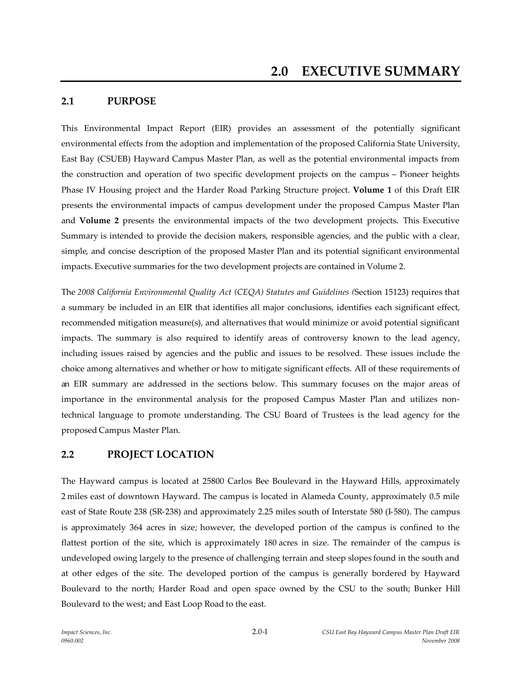## **2.1 PURPOSE**

This Environmental Impact Report (EIR) provides an assessment of the potentially significant environmental effects from the adoption and implementation of the proposed California State University, East Bay (CSUEB) Hayward Campus Master Plan, as well as the potential environmental impacts from the construction and operation of two specific development projects on the campus – Pioneer heights Phase IV Housing project and the Harder Road Parking Structure project. **Volume 1** of this Draft EIR presents the environmental impacts of campus development under the proposed Campus Master Plan and **Volume 2** presents the environmental impacts of the two development projects. This Executive Summary is intended to provide the decision makers, responsible agencies, and the public with a clear, simple, and concise description of the proposed Master Plan and its potential significant environmental impacts. Executive summaries for the two development projects are contained in Volume 2.

The *2008 California Environmental Quality Act (CEQA) Statutes and Guidelines (*Section 15123) requires that a summary be included in an EIR that identifies all major conclusions, identifies each significant effect, recommended mitigation measure(s), and alternatives that would minimize or avoid potential significant impacts. The summary is also required to identify areas of controversy known to the lead agency, including issues raised by agencies and the public and issues to be resolved. These issues include the choice among alternatives and whether or how to mitigate significant effects. All of these requirements of an EIR summary are addressed in the sections below. This summary focuses on the major areas of importance in the environmental analysis for the proposed Campus Master Plan and utilizes nontechnical language to promote understanding. The CSU Board of Trustees is the lead agency for the proposed Campus Master Plan.

### **2.2 PROJECT LOCATION**

The Hayward campus is located at 25800 Carlos Bee Boulevard in the Hayward Hills, approximately 2 miles east of downtown Hayward. The campus is located in Alameda County, approximately 0.5 mile east of State Route 238 (SR-238) and approximately 2.25 miles south of Interstate 580 (I-580). The campus is approximately 364 acres in size; however, the developed portion of the campus is confined to the flattest portion of the site, which is approximately 180 acres in size. The remainder of the campus is undeveloped owing largely to the presence of challenging terrain and steep slopes found in the south and at other edges of the site. The developed portion of the campus is generally bordered by Hayward Boulevard to the north; Harder Road and open space owned by the CSU to the south; Bunker Hill Boulevard to the west; and East Loop Road to the east.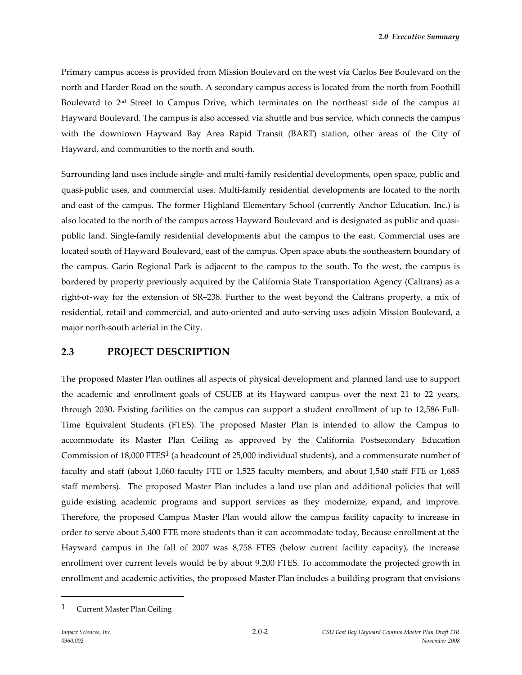Primary campus access is provided from Mission Boulevard on the west via Carlos Bee Boulevard on the north and Harder Road on the south. A secondary campus access is located from the north from Foothill Boulevard to 2<sup>nd</sup> Street to Campus Drive, which terminates on the northeast side of the campus at Hayward Boulevard. The campus is also accessed via shuttle and bus service, which connects the campus with the downtown Hayward Bay Area Rapid Transit (BART) station, other areas of the City of Hayward, and communities to the north and south.

Surrounding land uses include single- and multi-family residential developments, open space, public and quasi-public uses, and commercial uses. Multi-family residential developments are located to the north and east of the campus. The former Highland Elementary School (currently Anchor Education, Inc.) is also located to the north of the campus across Hayward Boulevard and is designated as public and quasipublic land. Single-family residential developments abut the campus to the east. Commercial uses are located south of Hayward Boulevard, east of the campus. Open space abuts the southeastern boundary of the campus. Garin Regional Park is adjacent to the campus to the south. To the west, the campus is bordered by property previously acquired by the California State Transportation Agency (Caltrans) as a right-of-way for the extension of SR–238. Further to the west beyond the Caltrans property, a mix of residential, retail and commercial, and auto-oriented and auto-serving uses adjoin Mission Boulevard, a major north-south arterial in the City.

### **2.3 PROJECT DESCRIPTION**

The proposed Master Plan outlines all aspects of physical development and planned land use to support the academic and enrollment goals of CSUEB at its Hayward campus over the next 21 to 22 years, through 2030. Existing facilities on the campus can support a student enrollment of up to 12,586 Full-Time Equivalent Students (FTES). The proposed Master Plan is intended to allow the Campus to accommodate its Master Plan Ceiling as approved by the California Postsecondary Education Commission of 18,000 FTES1 (a headcount of 25,000 individual students), and a commensurate number of faculty and staff (about 1,060 faculty FTE or 1,525 faculty members, and about 1,540 staff FTE or 1,685 staff members). The proposed Master Plan includes a land use plan and additional policies that will guide existing academic programs and support services as they modernize, expand, and improve. Therefore, the proposed Campus Master Plan would allow the campus facility capacity to increase in order to serve about 5,400 FTE more students than it can accommodate today, Because enrollment at the Hayward campus in the fall of 2007 was 8,758 FTES (below current facility capacity), the increase enrollment over current levels would be by about 9,200 FTES. To accommodate the projected growth in enrollment and academic activities, the proposed Master Plan includes a building program that envisions

<sup>1</sup> Current Master Plan Ceiling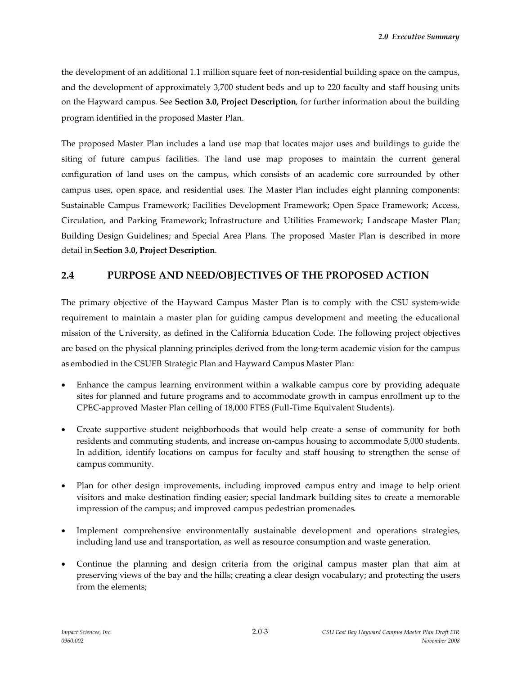the development of an additional 1.1 million square feet of non-residential building space on the campus, and the development of approximately 3,700 student beds and up to 220 faculty and staff housing units on the Hayward campus. See **Section 3.0, Project Description**, for further information about the building program identified in the proposed Master Plan.

The proposed Master Plan includes a land use map that locates major uses and buildings to guide the siting of future campus facilities. The land use map proposes to maintain the current general configuration of land uses on the campus, which consists of an academic core surrounded by other campus uses, open space, and residential uses. The Master Plan includes eight planning components: Sustainable Campus Framework; Facilities Development Framework; Open Space Framework; Access, Circulation, and Parking Framework; Infrastructure and Utilities Framework; Landscape Master Plan; Building Design Guidelines; and Special Area Plans. The proposed Master Plan is described in more detail in **Section 3.0, Project Description**.

## **2.4 PURPOSE AND NEED/OBJECTIVES OF THE PROPOSED ACTION**

The primary objective of the Hayward Campus Master Plan is to comply with the CSU system-wide requirement to maintain a master plan for guiding campus development and meeting the educational mission of the University, as defined in the California Education Code. The following project objectives are based on the physical planning principles derived from the long-term academic vision for the campus as embodied in the CSUEB Strategic Plan and Hayward Campus Master Plan:

- Enhance the campus learning environment within a walkable campus core by providing adequate sites for planned and future programs and to accommodate growth in campus enrollment up to the CPEC-approved Master Plan ceiling of 18,000 FTES (Full-Time Equivalent Students).
- Create supportive student neighborhoods that would help create a sense of community for both residents and commuting students, and increase on-campus housing to accommodate 5,000 students. In addition, identify locations on campus for faculty and staff housing to strengthen the sense of campus community.
- Plan for other design improvements, including improved campus entry and image to help orient visitors and make destination finding easier; special landmark building sites to create a memorable impression of the campus; and improved campus pedestrian promenades.
- Implement comprehensive environmentally sustainable development and operations strategies, including land use and transportation, as well as resource consumption and waste generation.
- Continue the planning and design criteria from the original campus master plan that aim at preserving views of the bay and the hills; creating a clear design vocabulary; and protecting the users from the elements;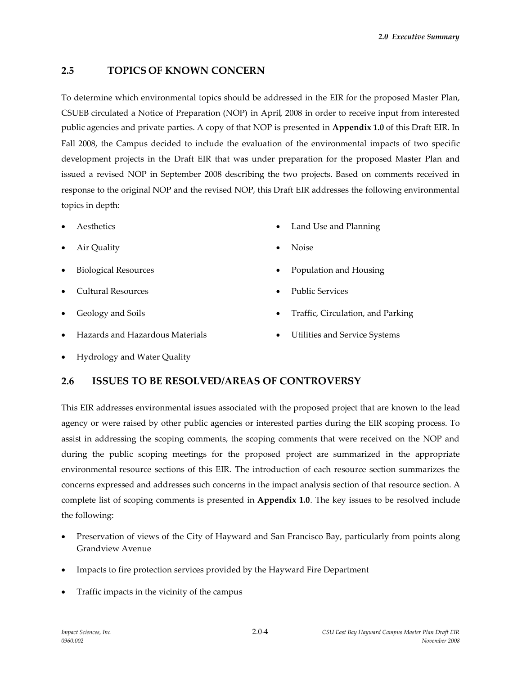## **2.5 TOPICS OF KNOWN CONCERN**

To determine which environmental topics should be addressed in the EIR for the proposed Master Plan, CSUEB circulated a Notice of Preparation (NOP) in April, 2008 in order to receive input from interested public agencies and private parties. A copy of that NOP is presented in **Appendix 1.0** of this Draft EIR. In Fall 2008, the Campus decided to include the evaluation of the environmental impacts of two specific development projects in the Draft EIR that was under preparation for the proposed Master Plan and issued a revised NOP in September 2008 describing the two projects. Based on comments received in response to the original NOP and the revised NOP, this Draft EIR addresses the following environmental topics in depth:

- Aesthetics
- Air Quality
- Biological Resources
- Cultural Resources
- Geology and Soils
- Hazards and Hazardous Materials
- Land Use and Planning
- Noise
- Population and Housing
- Public Services
- Traffic, Circulation, and Parking
- Utilities and Service Systems

Hydrology and Water Quality

### **2.6 ISSUES TO BE RESOLVED/AREAS OF CONTROVERSY**

This EIR addresses environmental issues associated with the proposed project that are known to the lead agency or were raised by other public agencies or interested parties during the EIR scoping process. To assist in addressing the scoping comments, the scoping comments that were received on the NOP and during the public scoping meetings for the proposed project are summarized in the appropriate environmental resource sections of this EIR. The introduction of each resource section summarizes the concerns expressed and addresses such concerns in the impact analysis section of that resource section. A complete list of scoping comments is presented in **Appendix 1.0**. The key issues to be resolved include the following:

- Preservation of views of the City of Hayward and San Francisco Bay, particularly from points along Grandview Avenue
- Impacts to fire protection services provided by the Hayward Fire Department
- Traffic impacts in the vicinity of the campus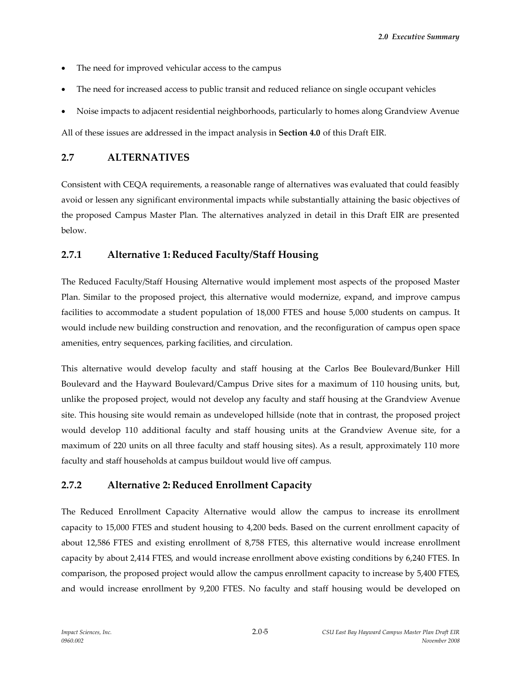*2.0 Executive Summary*

- The need for improved vehicular access to the campus
- The need for increased access to public transit and reduced reliance on single occupant vehicles
- Noise impacts to adjacent residential neighborhoods, particularly to homes along Grandview Avenue

All of these issues are addressed in the impact analysis in **Section 4.0** of this Draft EIR.

### **2.7 ALTERNATIVES**

Consistent with CEQA requirements, a reasonable range of alternatives was evaluated that could feasibly avoid or lessen any significant environmental impacts while substantially attaining the basic objectives of the proposed Campus Master Plan. The alternatives analyzed in detail in this Draft EIR are presented below.

## **2.7.1 Alternative 1: Reduced Faculty/Staff Housing**

The Reduced Faculty/Staff Housing Alternative would implement most aspects of the proposed Master Plan. Similar to the proposed project, this alternative would modernize, expand, and improve campus facilities to accommodate a student population of 18,000 FTES and house 5,000 students on campus. It would include new building construction and renovation, and the reconfiguration of campus open space amenities, entry sequences, parking facilities, and circulation.

This alternative would develop faculty and staff housing at the Carlos Bee Boulevard/Bunker Hill Boulevard and the Hayward Boulevard/Campus Drive sites for a maximum of 110 housing units, but, unlike the proposed project, would not develop any faculty and staff housing at the Grandview Avenue site. This housing site would remain as undeveloped hillside (note that in contrast, the proposed project would develop 110 additional faculty and staff housing units at the Grandview Avenue site, for a maximum of 220 units on all three faculty and staff housing sites). As a result, approximately 110 more faculty and staff households at campus buildout would live off campus.

# **2.7.2 Alternative 2: Reduced Enrollment Capacity**

The Reduced Enrollment Capacity Alternative would allow the campus to increase its enrollment capacity to 15,000 FTES and student housing to 4,200 beds. Based on the current enrollment capacity of about 12,586 FTES and existing enrollment of 8,758 FTES, this alternative would increase enrollment capacity by about 2,414 FTES, and would increase enrollment above existing conditions by 6,240 FTES. In comparison, the proposed project would allow the campus enrollment capacity to increase by 5,400 FTES, and would increase enrollment by 9,200 FTES. No faculty and staff housing would be developed on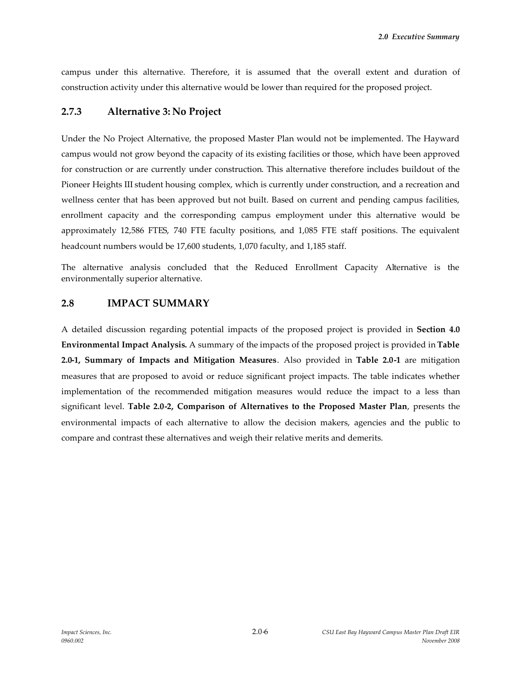campus under this alternative. Therefore, it is assumed that the overall extent and duration of construction activity under this alternative would be lower than required for the proposed project.

#### **2.7.3 Alternative 3: No Project**

Under the No Project Alternative, the proposed Master Plan would not be implemented. The Hayward campus would not grow beyond the capacity of its existing facilities or those, which have been approved for construction or are currently under construction. This alternative therefore includes buildout of the Pioneer Heights III student housing complex, which is currently under construction, and a recreation and wellness center that has been approved but not built. Based on current and pending campus facilities, enrollment capacity and the corresponding campus employment under this alternative would be approximately 12,586 FTES, 740 FTE faculty positions, and 1,085 FTE staff positions. The equivalent headcount numbers would be 17,600 students, 1,070 faculty, and 1,185 staff.

The alternative analysis concluded that the Reduced Enrollment Capacity Alternative is the environmentally superior alternative.

#### **2.8 IMPACT SUMMARY**

A detailed discussion regarding potential impacts of the proposed project is provided in **Section 4.0 Environmental Impact Analysis.** A summary of the impacts of the proposed project is provided in **Table 2.0-1, Summary of Impacts and Mitigation Measures**. Also provided in **Table 2.0-1** are mitigation measures that are proposed to avoid or reduce significant project impacts. The table indicates whether implementation of the recommended mitigation measures would reduce the impact to a less than significant level. **Table 2.0-2, Comparison of Alternatives to the Proposed Master Plan**, presents the environmental impacts of each alternative to allow the decision makers, agencies and the public to compare and contrast these alternatives and weigh their relative merits and demerits.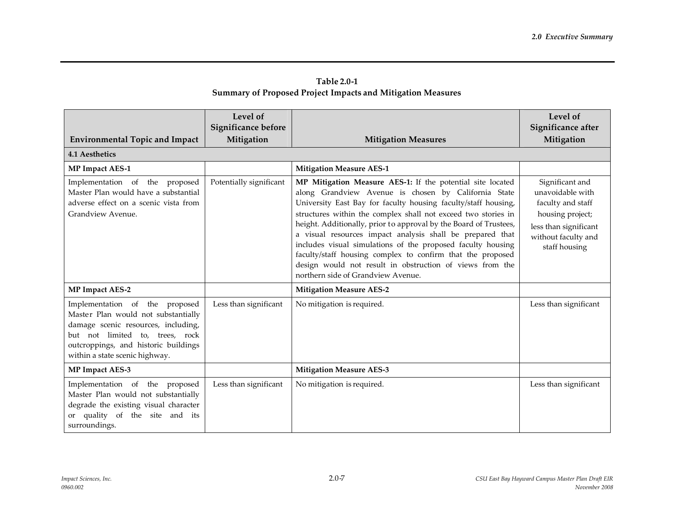| Table 2.0-1                                                        |  |
|--------------------------------------------------------------------|--|
| <b>Summary of Proposed Project Impacts and Mitigation Measures</b> |  |

| <b>Environmental Topic and Impact</b>                                                                                                                                                                                     | Level of<br>Significance before<br>Mitigation | <b>Mitigation Measures</b>                                                                                                                                                                                                                                                                                                                                                                                                                                                                                                                                                                                             | Level of<br>Significance after<br>Mitigation                                                                                                  |
|---------------------------------------------------------------------------------------------------------------------------------------------------------------------------------------------------------------------------|-----------------------------------------------|------------------------------------------------------------------------------------------------------------------------------------------------------------------------------------------------------------------------------------------------------------------------------------------------------------------------------------------------------------------------------------------------------------------------------------------------------------------------------------------------------------------------------------------------------------------------------------------------------------------------|-----------------------------------------------------------------------------------------------------------------------------------------------|
| <b>4.1 Aesthetics</b>                                                                                                                                                                                                     |                                               |                                                                                                                                                                                                                                                                                                                                                                                                                                                                                                                                                                                                                        |                                                                                                                                               |
| <b>MP Impact AES-1</b>                                                                                                                                                                                                    |                                               | <b>Mitigation Measure AES-1</b>                                                                                                                                                                                                                                                                                                                                                                                                                                                                                                                                                                                        |                                                                                                                                               |
| Implementation of the proposed<br>Master Plan would have a substantial<br>adverse effect on a scenic vista from<br>Grandview Avenue.                                                                                      | Potentially significant                       | MP Mitigation Measure AES-1: If the potential site located<br>along Grandview Avenue is chosen by California State<br>University East Bay for faculty housing faculty/staff housing,<br>structures within the complex shall not exceed two stories in<br>height. Additionally, prior to approval by the Board of Trustees,<br>a visual resources impact analysis shall be prepared that<br>includes visual simulations of the proposed faculty housing<br>faculty/staff housing complex to confirm that the proposed<br>design would not result in obstruction of views from the<br>northern side of Grandview Avenue. | Significant and<br>unavoidable with<br>faculty and staff<br>housing project;<br>less than significant<br>without faculty and<br>staff housing |
| <b>MP Impact AES-2</b>                                                                                                                                                                                                    |                                               | <b>Mitigation Measure AES-2</b>                                                                                                                                                                                                                                                                                                                                                                                                                                                                                                                                                                                        |                                                                                                                                               |
| Implementation of the proposed<br>Master Plan would not substantially<br>damage scenic resources, including,<br>but not limited to, trees, rock<br>outcroppings, and historic buildings<br>within a state scenic highway. | Less than significant                         | No mitigation is required.                                                                                                                                                                                                                                                                                                                                                                                                                                                                                                                                                                                             | Less than significant                                                                                                                         |
| MP Impact AES-3                                                                                                                                                                                                           |                                               | <b>Mitigation Measure AES-3</b>                                                                                                                                                                                                                                                                                                                                                                                                                                                                                                                                                                                        |                                                                                                                                               |
| Implementation of the proposed<br>Master Plan would not substantially<br>degrade the existing visual character<br>or quality of the site and its<br>surroundings.                                                         | Less than significant                         | No mitigation is required.                                                                                                                                                                                                                                                                                                                                                                                                                                                                                                                                                                                             | Less than significant                                                                                                                         |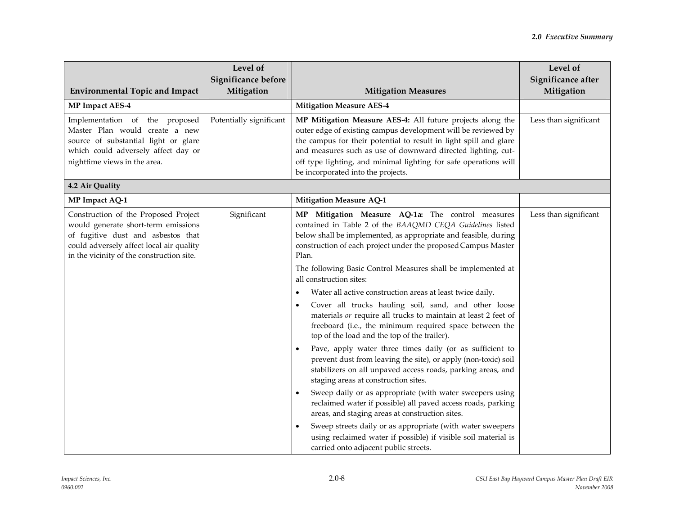| <b>Environmental Topic and Impact</b>                                                                                                                                                                      | Level of<br>Significance before<br>Mitigation | <b>Mitigation Measures</b>                                                                                                                                                                                                                                                                                                                                                                                                                                                                                                                                                                                                                                                                                                                                                                                                                                                                                                                                                                                                                                                                                                                                                                                                | Level of<br>Significance after<br>Mitigation |
|------------------------------------------------------------------------------------------------------------------------------------------------------------------------------------------------------------|-----------------------------------------------|---------------------------------------------------------------------------------------------------------------------------------------------------------------------------------------------------------------------------------------------------------------------------------------------------------------------------------------------------------------------------------------------------------------------------------------------------------------------------------------------------------------------------------------------------------------------------------------------------------------------------------------------------------------------------------------------------------------------------------------------------------------------------------------------------------------------------------------------------------------------------------------------------------------------------------------------------------------------------------------------------------------------------------------------------------------------------------------------------------------------------------------------------------------------------------------------------------------------------|----------------------------------------------|
| <b>MP Impact AES-4</b>                                                                                                                                                                                     |                                               | <b>Mitigation Measure AES-4</b>                                                                                                                                                                                                                                                                                                                                                                                                                                                                                                                                                                                                                                                                                                                                                                                                                                                                                                                                                                                                                                                                                                                                                                                           |                                              |
| Implementation of the proposed<br>Master Plan would create a new<br>source of substantial light or glare<br>which could adversely affect day or<br>nighttime views in the area.                            | Potentially significant                       | MP Mitigation Measure AES-4: All future projects along the<br>outer edge of existing campus development will be reviewed by<br>the campus for their potential to result in light spill and glare<br>and measures such as use of downward directed lighting, cut-<br>off type lighting, and minimal lighting for safe operations will<br>be incorporated into the projects.                                                                                                                                                                                                                                                                                                                                                                                                                                                                                                                                                                                                                                                                                                                                                                                                                                                | Less than significant                        |
| 4.2 Air Quality                                                                                                                                                                                            |                                               |                                                                                                                                                                                                                                                                                                                                                                                                                                                                                                                                                                                                                                                                                                                                                                                                                                                                                                                                                                                                                                                                                                                                                                                                                           |                                              |
| MP Impact AQ-1                                                                                                                                                                                             |                                               | <b>Mitigation Measure AQ-1</b>                                                                                                                                                                                                                                                                                                                                                                                                                                                                                                                                                                                                                                                                                                                                                                                                                                                                                                                                                                                                                                                                                                                                                                                            |                                              |
| Construction of the Proposed Project<br>would generate short-term emissions<br>of fugitive dust and asbestos that<br>could adversely affect local air quality<br>in the vicinity of the construction site. | Significant                                   | MP Mitigation Measure AQ-1a: The control measures<br>contained in Table 2 of the BAAQMD CEQA Guidelines listed<br>below shall be implemented, as appropriate and feasible, during<br>construction of each project under the proposed Campus Master<br>Plan.<br>The following Basic Control Measures shall be implemented at<br>all construction sites:<br>Water all active construction areas at least twice daily.<br>Cover all trucks hauling soil, sand, and other loose<br>$\bullet$<br>materials or require all trucks to maintain at least 2 feet of<br>freeboard (i.e., the minimum required space between the<br>top of the load and the top of the trailer).<br>Pave, apply water three times daily (or as sufficient to<br>prevent dust from leaving the site), or apply (non-toxic) soil<br>stabilizers on all unpaved access roads, parking areas, and<br>staging areas at construction sites.<br>Sweep daily or as appropriate (with water sweepers using<br>reclaimed water if possible) all paved access roads, parking<br>areas, and staging areas at construction sites.<br>Sweep streets daily or as appropriate (with water sweepers<br>using reclaimed water if possible) if visible soil material is | Less than significant                        |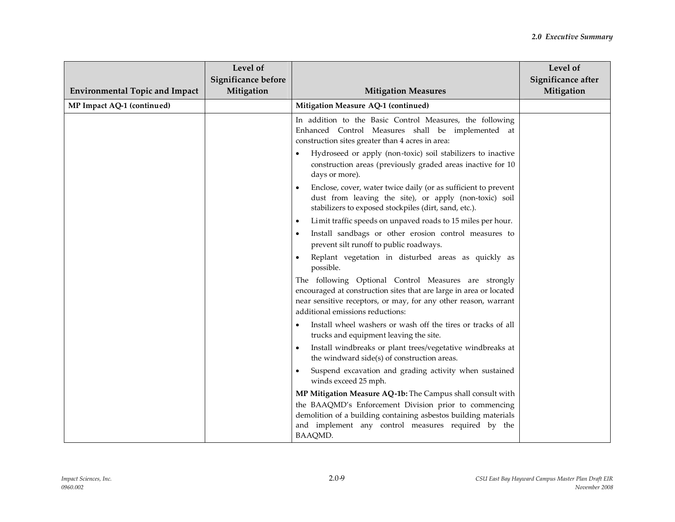| <b>Environmental Topic and Impact</b> | Level of<br>Significance before<br>Mitigation | <b>Mitigation Measures</b>                                                                                                                                                                                                                              | Level of<br>Significance after<br>Mitigation |
|---------------------------------------|-----------------------------------------------|---------------------------------------------------------------------------------------------------------------------------------------------------------------------------------------------------------------------------------------------------------|----------------------------------------------|
| MP Impact AQ-1 (continued)            |                                               | Mitigation Measure AQ-1 (continued)                                                                                                                                                                                                                     |                                              |
|                                       |                                               | In addition to the Basic Control Measures, the following<br>Enhanced Control Measures shall be implemented at<br>construction sites greater than 4 acres in area:                                                                                       |                                              |
|                                       |                                               | Hydroseed or apply (non-toxic) soil stabilizers to inactive<br>construction areas (previously graded areas inactive for 10<br>days or more).                                                                                                            |                                              |
|                                       |                                               | Enclose, cover, water twice daily (or as sufficient to prevent<br>dust from leaving the site), or apply (non-toxic) soil<br>stabilizers to exposed stockpiles (dirt, sand, etc.).                                                                       |                                              |
|                                       |                                               | Limit traffic speeds on unpaved roads to 15 miles per hour.<br>$\bullet$                                                                                                                                                                                |                                              |
|                                       |                                               | Install sandbags or other erosion control measures to<br>prevent silt runoff to public roadways.                                                                                                                                                        |                                              |
|                                       |                                               | Replant vegetation in disturbed areas as quickly as<br>possible.                                                                                                                                                                                        |                                              |
|                                       |                                               | The following Optional Control Measures are strongly<br>encouraged at construction sites that are large in area or located<br>near sensitive receptors, or may, for any other reason, warrant<br>additional emissions reductions:                       |                                              |
|                                       |                                               | Install wheel washers or wash off the tires or tracks of all<br>trucks and equipment leaving the site.                                                                                                                                                  |                                              |
|                                       |                                               | Install windbreaks or plant trees/vegetative windbreaks at<br>$\bullet$<br>the windward side(s) of construction areas.                                                                                                                                  |                                              |
|                                       |                                               | Suspend excavation and grading activity when sustained<br>winds exceed 25 mph.                                                                                                                                                                          |                                              |
|                                       |                                               | MP Mitigation Measure AQ-1b: The Campus shall consult with<br>the BAAQMD's Enforcement Division prior to commencing<br>demolition of a building containing asbestos building materials<br>and implement any control measures required by the<br>BAAQMD. |                                              |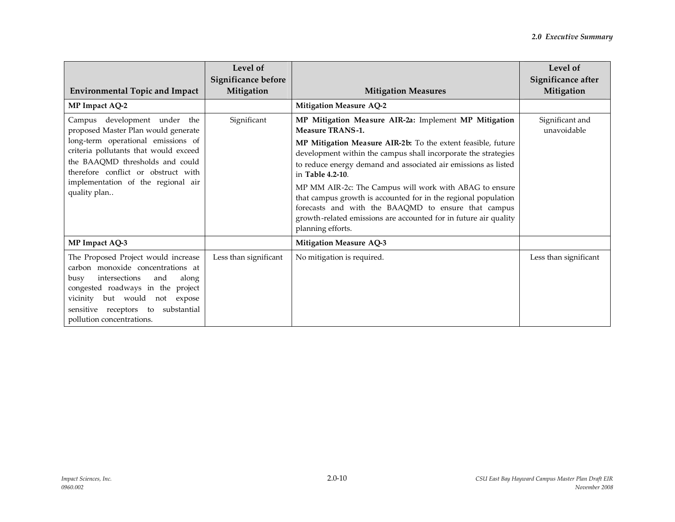| <b>Environmental Topic and Impact</b>                                                                                                                                                                                                                                              | Level of<br>Significance before<br>Mitigation | <b>Mitigation Measures</b>                                                                                                                                                                                                                                                                                                                                                                                                                                                                                                                                                           | Level of<br>Significance after<br>Mitigation |
|------------------------------------------------------------------------------------------------------------------------------------------------------------------------------------------------------------------------------------------------------------------------------------|-----------------------------------------------|--------------------------------------------------------------------------------------------------------------------------------------------------------------------------------------------------------------------------------------------------------------------------------------------------------------------------------------------------------------------------------------------------------------------------------------------------------------------------------------------------------------------------------------------------------------------------------------|----------------------------------------------|
| MP Impact AQ-2                                                                                                                                                                                                                                                                     |                                               | <b>Mitigation Measure AQ-2</b>                                                                                                                                                                                                                                                                                                                                                                                                                                                                                                                                                       |                                              |
| Campus development under the<br>proposed Master Plan would generate<br>long-term operational emissions of<br>criteria pollutants that would exceed<br>the BAAQMD thresholds and could<br>therefore conflict or obstruct with<br>implementation of the regional air<br>quality plan | Significant                                   | MP Mitigation Measure AIR-2a: Implement MP Mitigation<br><b>Measure TRANS-1.</b><br>MP Mitigation Measure AIR-2b: To the extent feasible, future<br>development within the campus shall incorporate the strategies<br>to reduce energy demand and associated air emissions as listed<br>in Table 4.2-10.<br>MP MM AIR-2c: The Campus will work with ABAG to ensure<br>that campus growth is accounted for in the regional population<br>forecasts and with the BAAQMD to ensure that campus<br>growth-related emissions are accounted for in future air quality<br>planning efforts. | Significant and<br>unavoidable               |
| MP Impact AQ-3                                                                                                                                                                                                                                                                     |                                               | <b>Mitigation Measure AQ-3</b>                                                                                                                                                                                                                                                                                                                                                                                                                                                                                                                                                       |                                              |
| The Proposed Project would increase<br>carbon monoxide concentrations at<br>intersections<br>along<br>and<br>busy<br>congested roadways in the project<br>vicinity but would not expose<br>sensitive receptors to<br>substantial<br>pollution concentrations.                      | Less than significant                         | No mitigation is required.                                                                                                                                                                                                                                                                                                                                                                                                                                                                                                                                                           | Less than significant                        |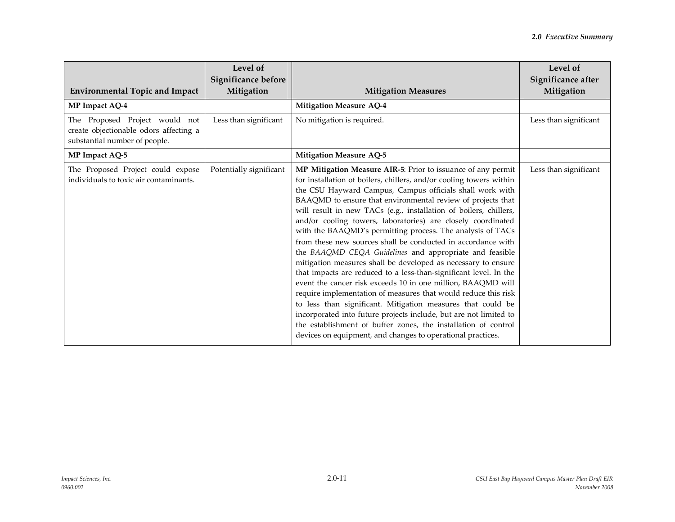| <b>Environmental Topic and Impact</b>                                                                     | Level of<br>Significance before<br>Mitigation | <b>Mitigation Measures</b>                                                                                                                                                                                                                                                                                                                                                                                                                                                                                                                                                                                                                                                                                                                                                                                                                                                                                                                                                                                                                                                                                                                | Level of<br>Significance after<br>Mitigation |
|-----------------------------------------------------------------------------------------------------------|-----------------------------------------------|-------------------------------------------------------------------------------------------------------------------------------------------------------------------------------------------------------------------------------------------------------------------------------------------------------------------------------------------------------------------------------------------------------------------------------------------------------------------------------------------------------------------------------------------------------------------------------------------------------------------------------------------------------------------------------------------------------------------------------------------------------------------------------------------------------------------------------------------------------------------------------------------------------------------------------------------------------------------------------------------------------------------------------------------------------------------------------------------------------------------------------------------|----------------------------------------------|
| MP Impact AQ-4                                                                                            |                                               | <b>Mitigation Measure AQ-4</b>                                                                                                                                                                                                                                                                                                                                                                                                                                                                                                                                                                                                                                                                                                                                                                                                                                                                                                                                                                                                                                                                                                            |                                              |
| The Proposed Project would not<br>create objectionable odors affecting a<br>substantial number of people. | Less than significant                         | No mitigation is required.                                                                                                                                                                                                                                                                                                                                                                                                                                                                                                                                                                                                                                                                                                                                                                                                                                                                                                                                                                                                                                                                                                                | Less than significant                        |
| MP Impact AQ-5                                                                                            |                                               | <b>Mitigation Measure AQ-5</b>                                                                                                                                                                                                                                                                                                                                                                                                                                                                                                                                                                                                                                                                                                                                                                                                                                                                                                                                                                                                                                                                                                            |                                              |
| The Proposed Project could expose<br>individuals to toxic air contaminants.                               | Potentially significant                       | MP Mitigation Measure AIR-5: Prior to issuance of any permit<br>for installation of boilers, chillers, and/or cooling towers within<br>the CSU Hayward Campus, Campus officials shall work with<br>BAAQMD to ensure that environmental review of projects that<br>will result in new TACs (e.g., installation of boilers, chillers,<br>and/or cooling towers, laboratories) are closely coordinated<br>with the BAAQMD's permitting process. The analysis of TACs<br>from these new sources shall be conducted in accordance with<br>the BAAQMD CEQA Guidelines and appropriate and feasible<br>mitigation measures shall be developed as necessary to ensure<br>that impacts are reduced to a less-than-significant level. In the<br>event the cancer risk exceeds 10 in one million, BAAQMD will<br>require implementation of measures that would reduce this risk<br>to less than significant. Mitigation measures that could be<br>incorporated into future projects include, but are not limited to<br>the establishment of buffer zones, the installation of control<br>devices on equipment, and changes to operational practices. | Less than significant                        |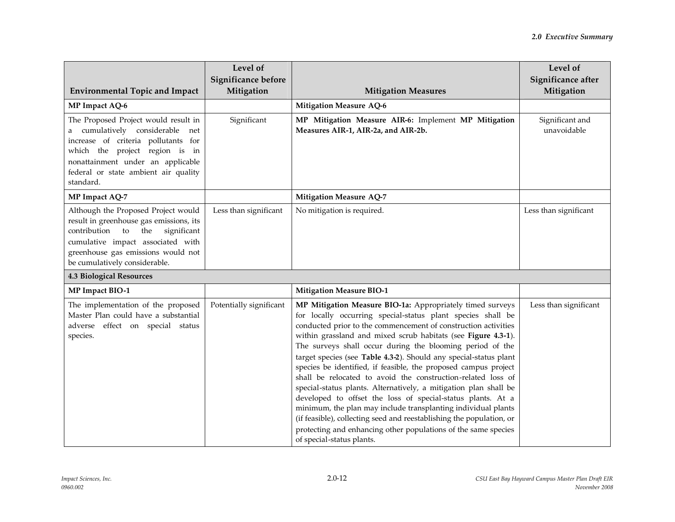| <b>Environmental Topic and Impact</b>                                                                                                                                                                                                      | Level of<br>Significance before<br>Mitigation | <b>Mitigation Measures</b>                                                                                                                                                                                                                                                                                                                                                                                                                                                                                                                                                                                                                                                                                                                                                                                                                                                                                  | Level of<br>Significance after<br>Mitigation |
|--------------------------------------------------------------------------------------------------------------------------------------------------------------------------------------------------------------------------------------------|-----------------------------------------------|-------------------------------------------------------------------------------------------------------------------------------------------------------------------------------------------------------------------------------------------------------------------------------------------------------------------------------------------------------------------------------------------------------------------------------------------------------------------------------------------------------------------------------------------------------------------------------------------------------------------------------------------------------------------------------------------------------------------------------------------------------------------------------------------------------------------------------------------------------------------------------------------------------------|----------------------------------------------|
| MP Impact AQ-6                                                                                                                                                                                                                             |                                               | <b>Mitigation Measure AQ-6</b>                                                                                                                                                                                                                                                                                                                                                                                                                                                                                                                                                                                                                                                                                                                                                                                                                                                                              |                                              |
| The Proposed Project would result in<br>a cumulatively considerable net<br>increase of criteria pollutants for<br>which the project region is in<br>nonattainment under an applicable<br>federal or state ambient air quality<br>standard. | Significant                                   | MP Mitigation Measure AIR-6: Implement MP Mitigation<br>Measures AIR-1, AIR-2a, and AIR-2b.                                                                                                                                                                                                                                                                                                                                                                                                                                                                                                                                                                                                                                                                                                                                                                                                                 | Significant and<br>unavoidable               |
| MP Impact AQ-7                                                                                                                                                                                                                             |                                               | <b>Mitigation Measure AQ-7</b>                                                                                                                                                                                                                                                                                                                                                                                                                                                                                                                                                                                                                                                                                                                                                                                                                                                                              |                                              |
| Although the Proposed Project would<br>result in greenhouse gas emissions, its<br>contribution to<br>the<br>significant<br>cumulative impact associated with<br>greenhouse gas emissions would not<br>be cumulatively considerable.        | Less than significant                         | No mitigation is required.                                                                                                                                                                                                                                                                                                                                                                                                                                                                                                                                                                                                                                                                                                                                                                                                                                                                                  | Less than significant                        |
| <b>4.3 Biological Resources</b>                                                                                                                                                                                                            |                                               |                                                                                                                                                                                                                                                                                                                                                                                                                                                                                                                                                                                                                                                                                                                                                                                                                                                                                                             |                                              |
| MP Impact BIO-1                                                                                                                                                                                                                            |                                               | <b>Mitigation Measure BIO-1</b>                                                                                                                                                                                                                                                                                                                                                                                                                                                                                                                                                                                                                                                                                                                                                                                                                                                                             |                                              |
| The implementation of the proposed<br>Master Plan could have a substantial<br>adverse effect on special status<br>species.                                                                                                                 | Potentially significant                       | MP Mitigation Measure BIO-1a: Appropriately timed surveys<br>for locally occurring special-status plant species shall be<br>conducted prior to the commencement of construction activities<br>within grassland and mixed scrub habitats (see Figure 4.3-1).<br>The surveys shall occur during the blooming period of the<br>target species (see Table 4.3-2). Should any special-status plant<br>species be identified, if feasible, the proposed campus project<br>shall be relocated to avoid the construction-related loss of<br>special-status plants. Alternatively, a mitigation plan shall be<br>developed to offset the loss of special-status plants. At a<br>minimum, the plan may include transplanting individual plants<br>(if feasible), collecting seed and reestablishing the population, or<br>protecting and enhancing other populations of the same species<br>of special-status plants. | Less than significant                        |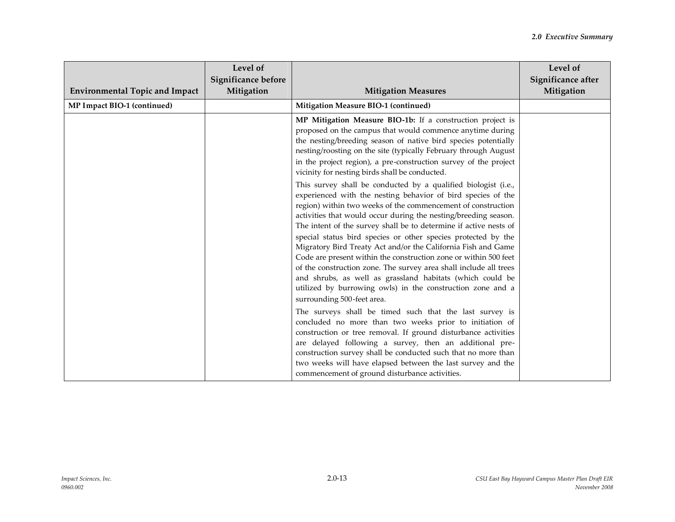|                                       | Level of<br>Significance before |                                                                                                                                                                                                                                                                                                                                                                                                                                                                                                                                                                                                                                                                                                                                                                            | Level of<br>Significance after |
|---------------------------------------|---------------------------------|----------------------------------------------------------------------------------------------------------------------------------------------------------------------------------------------------------------------------------------------------------------------------------------------------------------------------------------------------------------------------------------------------------------------------------------------------------------------------------------------------------------------------------------------------------------------------------------------------------------------------------------------------------------------------------------------------------------------------------------------------------------------------|--------------------------------|
| <b>Environmental Topic and Impact</b> | Mitigation                      | <b>Mitigation Measures</b>                                                                                                                                                                                                                                                                                                                                                                                                                                                                                                                                                                                                                                                                                                                                                 | Mitigation                     |
| MP Impact BIO-1 (continued)           |                                 | Mitigation Measure BIO-1 (continued)                                                                                                                                                                                                                                                                                                                                                                                                                                                                                                                                                                                                                                                                                                                                       |                                |
|                                       |                                 | MP Mitigation Measure BIO-1b: If a construction project is<br>proposed on the campus that would commence anytime during<br>the nesting/breeding season of native bird species potentially<br>nesting/roosting on the site (typically February through August<br>in the project region), a pre-construction survey of the project<br>vicinity for nesting birds shall be conducted.                                                                                                                                                                                                                                                                                                                                                                                         |                                |
|                                       |                                 | This survey shall be conducted by a qualified biologist (i.e.,<br>experienced with the nesting behavior of bird species of the<br>region) within two weeks of the commencement of construction<br>activities that would occur during the nesting/breeding season.<br>The intent of the survey shall be to determine if active nests of<br>special status bird species or other species protected by the<br>Migratory Bird Treaty Act and/or the California Fish and Game<br>Code are present within the construction zone or within 500 feet<br>of the construction zone. The survey area shall include all trees<br>and shrubs, as well as grassland habitats (which could be<br>utilized by burrowing owls) in the construction zone and a<br>surrounding 500-feet area. |                                |
|                                       |                                 | The surveys shall be timed such that the last survey is<br>concluded no more than two weeks prior to initiation of<br>construction or tree removal. If ground disturbance activities<br>are delayed following a survey, then an additional pre-<br>construction survey shall be conducted such that no more than<br>two weeks will have elapsed between the last survey and the<br>commencement of ground disturbance activities.                                                                                                                                                                                                                                                                                                                                          |                                |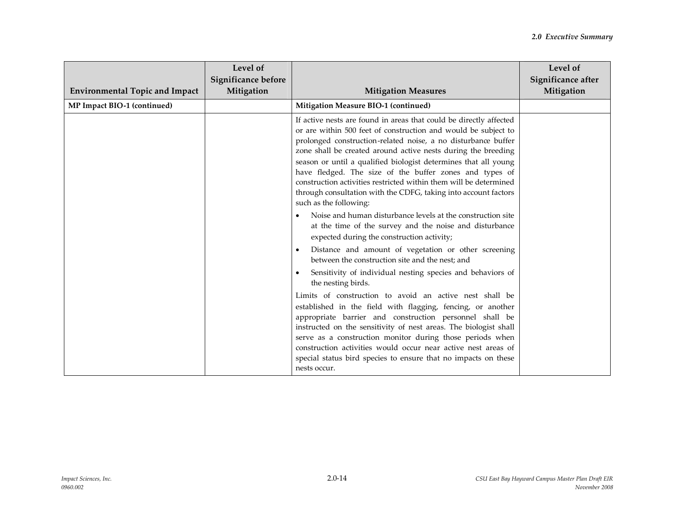| <b>Environmental Topic and Impact</b> | Level of<br>Significance before<br>Mitigation | <b>Mitigation Measures</b>                                                                                                                                                                                                                                                                                                                                                                                                                                                                                                                                             | Level of<br>Significance after<br>Mitigation |
|---------------------------------------|-----------------------------------------------|------------------------------------------------------------------------------------------------------------------------------------------------------------------------------------------------------------------------------------------------------------------------------------------------------------------------------------------------------------------------------------------------------------------------------------------------------------------------------------------------------------------------------------------------------------------------|----------------------------------------------|
| MP Impact BIO-1 (continued)           |                                               | Mitigation Measure BIO-1 (continued)                                                                                                                                                                                                                                                                                                                                                                                                                                                                                                                                   |                                              |
|                                       |                                               | If active nests are found in areas that could be directly affected<br>or are within 500 feet of construction and would be subject to<br>prolonged construction-related noise, a no disturbance buffer<br>zone shall be created around active nests during the breeding<br>season or until a qualified biologist determines that all young<br>have fledged. The size of the buffer zones and types of<br>construction activities restricted within them will be determined<br>through consultation with the CDFG, taking into account factors<br>such as the following: |                                              |
|                                       |                                               | Noise and human disturbance levels at the construction site<br>at the time of the survey and the noise and disturbance<br>expected during the construction activity;                                                                                                                                                                                                                                                                                                                                                                                                   |                                              |
|                                       |                                               | Distance and amount of vegetation or other screening<br>between the construction site and the nest; and                                                                                                                                                                                                                                                                                                                                                                                                                                                                |                                              |
|                                       |                                               | Sensitivity of individual nesting species and behaviors of<br>the nesting birds.                                                                                                                                                                                                                                                                                                                                                                                                                                                                                       |                                              |
|                                       |                                               | Limits of construction to avoid an active nest shall be<br>established in the field with flagging, fencing, or another<br>appropriate barrier and construction personnel shall be<br>instructed on the sensitivity of nest areas. The biologist shall<br>serve as a construction monitor during those periods when<br>construction activities would occur near active nest areas of<br>special status bird species to ensure that no impacts on these<br>nests occur.                                                                                                  |                                              |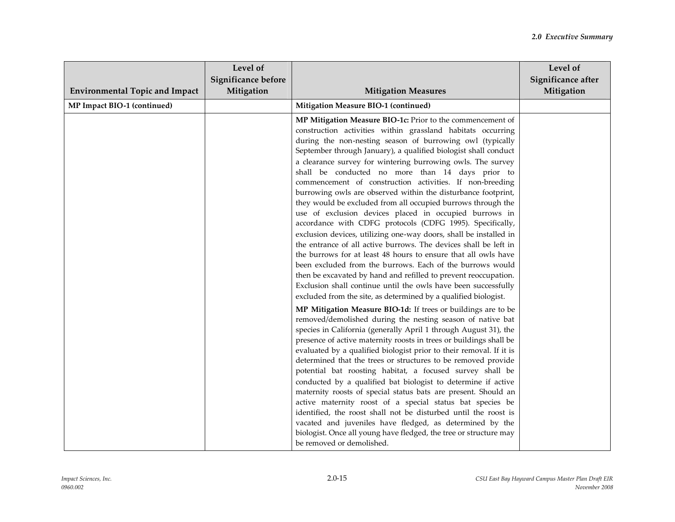| <b>Environmental Topic and Impact</b> | Level of<br>Significance before<br>Mitigation | <b>Mitigation Measures</b>                                                                                                                                                                                                                                                                                                                                                                                                                                                                                                                                                                                                                                                                                                                                                                                                                                                                                                                                                                                                                                                                                                                                                       | Level of<br>Significance after<br>Mitigation |
|---------------------------------------|-----------------------------------------------|----------------------------------------------------------------------------------------------------------------------------------------------------------------------------------------------------------------------------------------------------------------------------------------------------------------------------------------------------------------------------------------------------------------------------------------------------------------------------------------------------------------------------------------------------------------------------------------------------------------------------------------------------------------------------------------------------------------------------------------------------------------------------------------------------------------------------------------------------------------------------------------------------------------------------------------------------------------------------------------------------------------------------------------------------------------------------------------------------------------------------------------------------------------------------------|----------------------------------------------|
| MP Impact BIO-1 (continued)           |                                               | Mitigation Measure BIO-1 (continued)                                                                                                                                                                                                                                                                                                                                                                                                                                                                                                                                                                                                                                                                                                                                                                                                                                                                                                                                                                                                                                                                                                                                             |                                              |
|                                       |                                               | MP Mitigation Measure BIO-1c: Prior to the commencement of<br>construction activities within grassland habitats occurring<br>during the non-nesting season of burrowing owl (typically<br>September through January), a qualified biologist shall conduct<br>a clearance survey for wintering burrowing owls. The survey<br>shall be conducted no more than 14 days prior to<br>commencement of construction activities. If non-breeding<br>burrowing owls are observed within the disturbance footprint,<br>they would be excluded from all occupied burrows through the<br>use of exclusion devices placed in occupied burrows in<br>accordance with CDFG protocols (CDFG 1995). Specifically,<br>exclusion devices, utilizing one-way doors, shall be installed in<br>the entrance of all active burrows. The devices shall be left in<br>the burrows for at least 48 hours to ensure that all owls have<br>been excluded from the burrows. Each of the burrows would<br>then be excavated by hand and refilled to prevent reoccupation.<br>Exclusion shall continue until the owls have been successfully<br>excluded from the site, as determined by a qualified biologist. |                                              |
|                                       |                                               | MP Mitigation Measure BIO-1d: If trees or buildings are to be<br>removed/demolished during the nesting season of native bat<br>species in California (generally April 1 through August 31), the<br>presence of active maternity roosts in trees or buildings shall be<br>evaluated by a qualified biologist prior to their removal. If it is<br>determined that the trees or structures to be removed provide<br>potential bat roosting habitat, a focused survey shall be<br>conducted by a qualified bat biologist to determine if active<br>maternity roosts of special status bats are present. Should an<br>active maternity roost of a special status bat species be<br>identified, the roost shall not be disturbed until the roost is<br>vacated and juveniles have fledged, as determined by the<br>biologist. Once all young have fledged, the tree or structure may<br>be removed or demolished.                                                                                                                                                                                                                                                                      |                                              |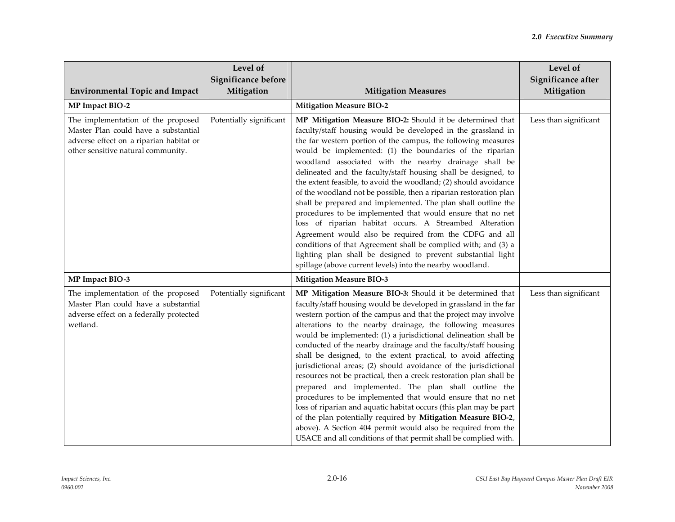| <b>Environmental Topic and Impact</b>                                                                                                                       | Level of<br>Significance before<br>Mitigation | <b>Mitigation Measures</b>                                                                                                                                                                                                                                                                                                                                                                                                                                                                                                                                                                                                                                                                                                                                                                                                                                                                                                                                                                                     | Level of<br>Significance after<br>Mitigation |
|-------------------------------------------------------------------------------------------------------------------------------------------------------------|-----------------------------------------------|----------------------------------------------------------------------------------------------------------------------------------------------------------------------------------------------------------------------------------------------------------------------------------------------------------------------------------------------------------------------------------------------------------------------------------------------------------------------------------------------------------------------------------------------------------------------------------------------------------------------------------------------------------------------------------------------------------------------------------------------------------------------------------------------------------------------------------------------------------------------------------------------------------------------------------------------------------------------------------------------------------------|----------------------------------------------|
| MP Impact BIO-2                                                                                                                                             |                                               | <b>Mitigation Measure BIO-2</b>                                                                                                                                                                                                                                                                                                                                                                                                                                                                                                                                                                                                                                                                                                                                                                                                                                                                                                                                                                                |                                              |
| The implementation of the proposed<br>Master Plan could have a substantial<br>adverse effect on a riparian habitat or<br>other sensitive natural community. | Potentially significant                       | MP Mitigation Measure BIO-2: Should it be determined that<br>faculty/staff housing would be developed in the grassland in<br>the far western portion of the campus, the following measures<br>would be implemented: (1) the boundaries of the riparian<br>woodland associated with the nearby drainage shall be<br>delineated and the faculty/staff housing shall be designed, to<br>the extent feasible, to avoid the woodland; (2) should avoidance<br>of the woodland not be possible, then a riparian restoration plan<br>shall be prepared and implemented. The plan shall outline the<br>procedures to be implemented that would ensure that no net<br>loss of riparian habitat occurs. A Streambed Alteration<br>Agreement would also be required from the CDFG and all<br>conditions of that Agreement shall be complied with; and (3) a<br>lighting plan shall be designed to prevent substantial light<br>spillage (above current levels) into the nearby woodland.                                  | Less than significant                        |
| MP Impact BIO-3                                                                                                                                             |                                               | <b>Mitigation Measure BIO-3</b>                                                                                                                                                                                                                                                                                                                                                                                                                                                                                                                                                                                                                                                                                                                                                                                                                                                                                                                                                                                |                                              |
| The implementation of the proposed<br>Master Plan could have a substantial<br>adverse effect on a federally protected<br>wetland.                           | Potentially significant                       | MP Mitigation Measure BIO-3: Should it be determined that<br>faculty/staff housing would be developed in grassland in the far<br>western portion of the campus and that the project may involve<br>alterations to the nearby drainage, the following measures<br>would be implemented: (1) a jurisdictional delineation shall be<br>conducted of the nearby drainage and the faculty/staff housing<br>shall be designed, to the extent practical, to avoid affecting<br>jurisdictional areas; (2) should avoidance of the jurisdictional<br>resources not be practical, then a creek restoration plan shall be<br>prepared and implemented. The plan shall outline the<br>procedures to be implemented that would ensure that no net<br>loss of riparian and aquatic habitat occurs (this plan may be part<br>of the plan potentially required by Mitigation Measure BIO-2,<br>above). A Section 404 permit would also be required from the<br>USACE and all conditions of that permit shall be complied with. | Less than significant                        |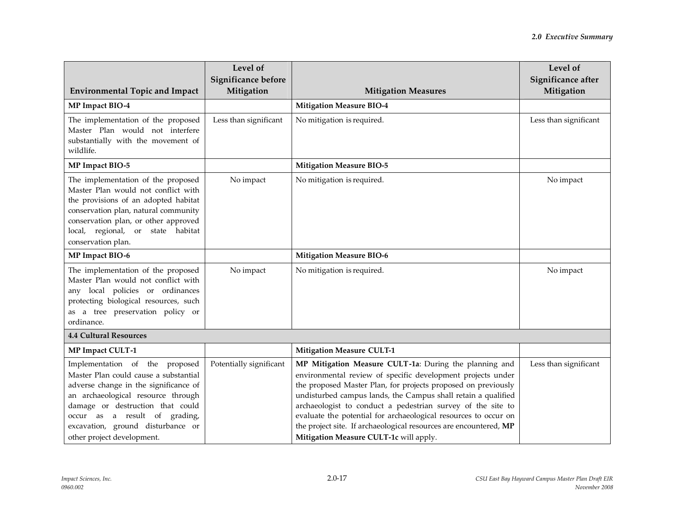| <b>Environmental Topic and Impact</b>                                                                                                                                                                                                                                                          | Level of<br>Significance before<br>Mitigation | <b>Mitigation Measures</b>                                                                                                                                                                                                                                                                                                                                                                                                                                                                               | Level of<br>Significance after<br>Mitigation |
|------------------------------------------------------------------------------------------------------------------------------------------------------------------------------------------------------------------------------------------------------------------------------------------------|-----------------------------------------------|----------------------------------------------------------------------------------------------------------------------------------------------------------------------------------------------------------------------------------------------------------------------------------------------------------------------------------------------------------------------------------------------------------------------------------------------------------------------------------------------------------|----------------------------------------------|
| MP Impact BIO-4                                                                                                                                                                                                                                                                                |                                               | <b>Mitigation Measure BIO-4</b>                                                                                                                                                                                                                                                                                                                                                                                                                                                                          |                                              |
| The implementation of the proposed<br>Master Plan would not interfere<br>substantially with the movement of<br>wildlife.                                                                                                                                                                       | Less than significant                         | No mitigation is required.                                                                                                                                                                                                                                                                                                                                                                                                                                                                               | Less than significant                        |
| MP Impact BIO-5                                                                                                                                                                                                                                                                                |                                               | <b>Mitigation Measure BIO-5</b>                                                                                                                                                                                                                                                                                                                                                                                                                                                                          |                                              |
| The implementation of the proposed<br>Master Plan would not conflict with<br>the provisions of an adopted habitat<br>conservation plan, natural community<br>conservation plan, or other approved<br>local, regional, or state habitat<br>conservation plan.                                   | No impact                                     | No mitigation is required.                                                                                                                                                                                                                                                                                                                                                                                                                                                                               | No impact                                    |
| MP Impact BIO-6                                                                                                                                                                                                                                                                                |                                               | <b>Mitigation Measure BIO-6</b>                                                                                                                                                                                                                                                                                                                                                                                                                                                                          |                                              |
| The implementation of the proposed<br>Master Plan would not conflict with<br>any local policies or ordinances<br>protecting biological resources, such<br>as a tree preservation policy or<br>ordinance.                                                                                       | No impact                                     | No mitigation is required.                                                                                                                                                                                                                                                                                                                                                                                                                                                                               | No impact                                    |
| <b>4.4 Cultural Resources</b>                                                                                                                                                                                                                                                                  |                                               |                                                                                                                                                                                                                                                                                                                                                                                                                                                                                                          |                                              |
| <b>MP Impact CULT-1</b>                                                                                                                                                                                                                                                                        |                                               | <b>Mitigation Measure CULT-1</b>                                                                                                                                                                                                                                                                                                                                                                                                                                                                         |                                              |
| Implementation of the proposed<br>Master Plan could cause a substantial<br>adverse change in the significance of<br>an archaeological resource through<br>damage or destruction that could<br>occur as a result of grading,<br>excavation, ground disturbance or<br>other project development. | Potentially significant                       | MP Mitigation Measure CULT-1a: During the planning and<br>environmental review of specific development projects under<br>the proposed Master Plan, for projects proposed on previously<br>undisturbed campus lands, the Campus shall retain a qualified<br>archaeologist to conduct a pedestrian survey of the site to<br>evaluate the potential for archaeological resources to occur on<br>the project site. If archaeological resources are encountered, MP<br>Mitigation Measure CULT-1c will apply. | Less than significant                        |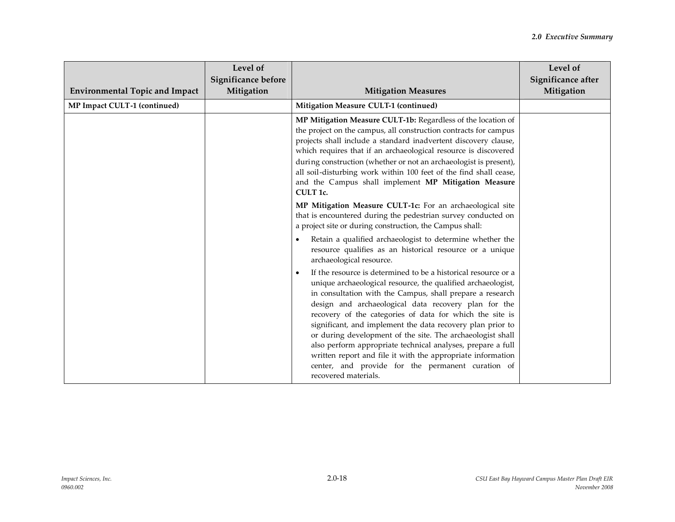| <b>Environmental Topic and Impact</b> | Level of<br>Significance before<br>Mitigation | <b>Mitigation Measures</b>                                                                                                                                                                                                                                                                                                                                                                                                                                                                                                                                                                                                                                          | Level of<br>Significance after<br>Mitigation |
|---------------------------------------|-----------------------------------------------|---------------------------------------------------------------------------------------------------------------------------------------------------------------------------------------------------------------------------------------------------------------------------------------------------------------------------------------------------------------------------------------------------------------------------------------------------------------------------------------------------------------------------------------------------------------------------------------------------------------------------------------------------------------------|----------------------------------------------|
| MP Impact CULT-1 (continued)          |                                               | Mitigation Measure CULT-1 (continued)                                                                                                                                                                                                                                                                                                                                                                                                                                                                                                                                                                                                                               |                                              |
|                                       |                                               | MP Mitigation Measure CULT-1b: Regardless of the location of<br>the project on the campus, all construction contracts for campus<br>projects shall include a standard inadvertent discovery clause,<br>which requires that if an archaeological resource is discovered<br>during construction (whether or not an archaeologist is present),<br>all soil-disturbing work within 100 feet of the find shall cease,<br>and the Campus shall implement MP Mitigation Measure<br><b>CULT 1c.</b>                                                                                                                                                                         |                                              |
|                                       |                                               | MP Mitigation Measure CULT-1c: For an archaeological site<br>that is encountered during the pedestrian survey conducted on<br>a project site or during construction, the Campus shall:                                                                                                                                                                                                                                                                                                                                                                                                                                                                              |                                              |
|                                       |                                               | Retain a qualified archaeologist to determine whether the<br>resource qualifies as an historical resource or a unique<br>archaeological resource.                                                                                                                                                                                                                                                                                                                                                                                                                                                                                                                   |                                              |
|                                       |                                               | If the resource is determined to be a historical resource or a<br>$\bullet$<br>unique archaeological resource, the qualified archaeologist,<br>in consultation with the Campus, shall prepare a research<br>design and archaeological data recovery plan for the<br>recovery of the categories of data for which the site is<br>significant, and implement the data recovery plan prior to<br>or during development of the site. The archaeologist shall<br>also perform appropriate technical analyses, prepare a full<br>written report and file it with the appropriate information<br>center, and provide for the permanent curation of<br>recovered materials. |                                              |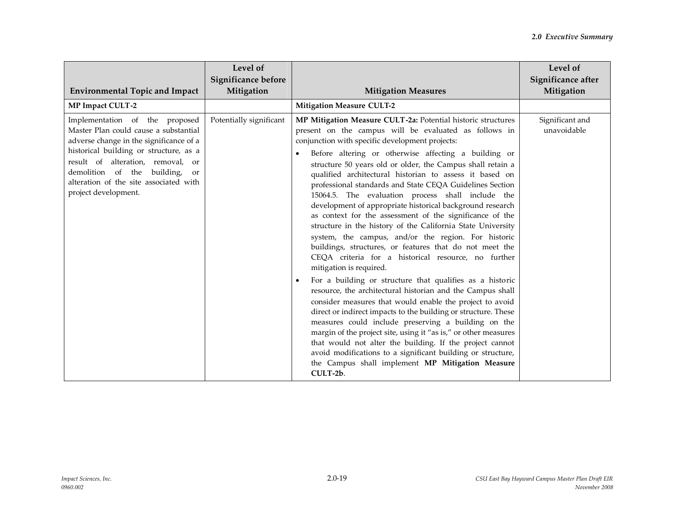|                                                                                                                                                                                                                                                                                                                     | Level of<br>Significance before |                                                                                                                                                                                                                                                                                                                                                                                                                                                                                                                                                                                                                                                                                                                                                                                                                                                                                                                                                                                                                                                                                                                                                                                                                                                                                                                                                                                                                                                     | Level of<br>Significance after |
|---------------------------------------------------------------------------------------------------------------------------------------------------------------------------------------------------------------------------------------------------------------------------------------------------------------------|---------------------------------|-----------------------------------------------------------------------------------------------------------------------------------------------------------------------------------------------------------------------------------------------------------------------------------------------------------------------------------------------------------------------------------------------------------------------------------------------------------------------------------------------------------------------------------------------------------------------------------------------------------------------------------------------------------------------------------------------------------------------------------------------------------------------------------------------------------------------------------------------------------------------------------------------------------------------------------------------------------------------------------------------------------------------------------------------------------------------------------------------------------------------------------------------------------------------------------------------------------------------------------------------------------------------------------------------------------------------------------------------------------------------------------------------------------------------------------------------------|--------------------------------|
| <b>Environmental Topic and Impact</b>                                                                                                                                                                                                                                                                               | Mitigation                      | <b>Mitigation Measures</b>                                                                                                                                                                                                                                                                                                                                                                                                                                                                                                                                                                                                                                                                                                                                                                                                                                                                                                                                                                                                                                                                                                                                                                                                                                                                                                                                                                                                                          | Mitigation                     |
| <b>MP Impact CULT-2</b>                                                                                                                                                                                                                                                                                             |                                 | <b>Mitigation Measure CULT-2</b>                                                                                                                                                                                                                                                                                                                                                                                                                                                                                                                                                                                                                                                                                                                                                                                                                                                                                                                                                                                                                                                                                                                                                                                                                                                                                                                                                                                                                    |                                |
| Implementation of the proposed<br>Master Plan could cause a substantial<br>adverse change in the significance of a<br>historical building or structure, as a<br>result of alteration, removal, or<br>demolition of the building,<br><sub>or</sub><br>alteration of the site associated with<br>project development. | Potentially significant         | MP Mitigation Measure CULT-2a: Potential historic structures<br>present on the campus will be evaluated as follows in<br>conjunction with specific development projects:<br>Before altering or otherwise affecting a building or<br>structure 50 years old or older, the Campus shall retain a<br>qualified architectural historian to assess it based on<br>professional standards and State CEQA Guidelines Section<br>15064.5. The evaluation process shall include the<br>development of appropriate historical background research<br>as context for the assessment of the significance of the<br>structure in the history of the California State University<br>system, the campus, and/or the region. For historic<br>buildings, structures, or features that do not meet the<br>CEQA criteria for a historical resource, no further<br>mitigation is required.<br>For a building or structure that qualifies as a historic<br>resource, the architectural historian and the Campus shall<br>consider measures that would enable the project to avoid<br>direct or indirect impacts to the building or structure. These<br>measures could include preserving a building on the<br>margin of the project site, using it "as is," or other measures<br>that would not alter the building. If the project cannot<br>avoid modifications to a significant building or structure,<br>the Campus shall implement MP Mitigation Measure<br>CULT-2b. | Significant and<br>unavoidable |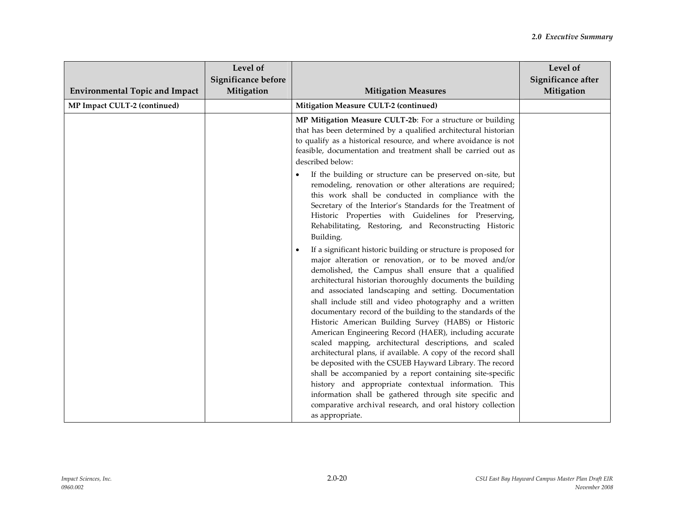| <b>Environmental Topic and Impact</b> | Level of<br>Significance before<br>Mitigation | <b>Mitigation Measures</b>                                                                                                                                                                                                                                                                                                                                                                                                                                                                                                                                                                                                                                                                                                                                                                                                                                                                                                                                                                               | Level of<br>Significance after<br>Mitigation |
|---------------------------------------|-----------------------------------------------|----------------------------------------------------------------------------------------------------------------------------------------------------------------------------------------------------------------------------------------------------------------------------------------------------------------------------------------------------------------------------------------------------------------------------------------------------------------------------------------------------------------------------------------------------------------------------------------------------------------------------------------------------------------------------------------------------------------------------------------------------------------------------------------------------------------------------------------------------------------------------------------------------------------------------------------------------------------------------------------------------------|----------------------------------------------|
| MP Impact CULT-2 (continued)          |                                               | Mitigation Measure CULT-2 (continued)                                                                                                                                                                                                                                                                                                                                                                                                                                                                                                                                                                                                                                                                                                                                                                                                                                                                                                                                                                    |                                              |
|                                       |                                               | MP Mitigation Measure CULT-2b: For a structure or building<br>that has been determined by a qualified architectural historian<br>to qualify as a historical resource, and where avoidance is not<br>feasible, documentation and treatment shall be carried out as<br>described below:                                                                                                                                                                                                                                                                                                                                                                                                                                                                                                                                                                                                                                                                                                                    |                                              |
|                                       |                                               | If the building or structure can be preserved on-site, but<br>remodeling, renovation or other alterations are required;<br>this work shall be conducted in compliance with the<br>Secretary of the Interior's Standards for the Treatment of<br>Historic Properties with Guidelines for Preserving,<br>Rehabilitating, Restoring, and Reconstructing Historic<br>Building.                                                                                                                                                                                                                                                                                                                                                                                                                                                                                                                                                                                                                               |                                              |
|                                       |                                               | If a significant historic building or structure is proposed for<br>major alteration or renovation, or to be moved and/or<br>demolished, the Campus shall ensure that a qualified<br>architectural historian thoroughly documents the building<br>and associated landscaping and setting. Documentation<br>shall include still and video photography and a written<br>documentary record of the building to the standards of the<br>Historic American Building Survey (HABS) or Historic<br>American Engineering Record (HAER), including accurate<br>scaled mapping, architectural descriptions, and scaled<br>architectural plans, if available. A copy of the record shall<br>be deposited with the CSUEB Hayward Library. The record<br>shall be accompanied by a report containing site-specific<br>history and appropriate contextual information. This<br>information shall be gathered through site specific and<br>comparative archival research, and oral history collection<br>as appropriate. |                                              |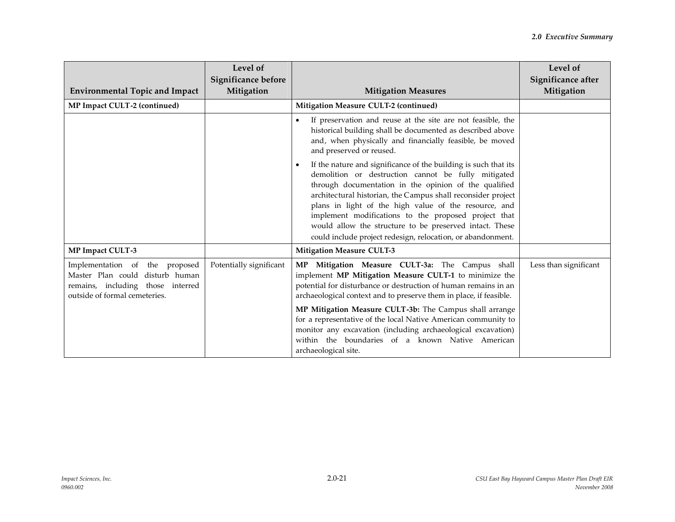| <b>Environmental Topic and Impact</b>                                                                                                   | Level of<br>Significance before<br>Mitigation | <b>Mitigation Measures</b>                                                                                                                                                                                                                                                                                                                                                                                                                                                                                                     | Level of<br>Significance after<br>Mitigation |
|-----------------------------------------------------------------------------------------------------------------------------------------|-----------------------------------------------|--------------------------------------------------------------------------------------------------------------------------------------------------------------------------------------------------------------------------------------------------------------------------------------------------------------------------------------------------------------------------------------------------------------------------------------------------------------------------------------------------------------------------------|----------------------------------------------|
| MP Impact CULT-2 (continued)                                                                                                            |                                               | Mitigation Measure CULT-2 (continued)                                                                                                                                                                                                                                                                                                                                                                                                                                                                                          |                                              |
|                                                                                                                                         |                                               | If preservation and reuse at the site are not feasible, the<br>$\bullet$<br>historical building shall be documented as described above<br>and, when physically and financially feasible, be moved<br>and preserved or reused.                                                                                                                                                                                                                                                                                                  |                                              |
|                                                                                                                                         |                                               | If the nature and significance of the building is such that its<br>demolition or destruction cannot be fully mitigated<br>through documentation in the opinion of the qualified<br>architectural historian, the Campus shall reconsider project<br>plans in light of the high value of the resource, and<br>implement modifications to the proposed project that<br>would allow the structure to be preserved intact. These<br>could include project redesign, relocation, or abandonment.                                     |                                              |
| MP Impact CULT-3                                                                                                                        |                                               | <b>Mitigation Measure CULT-3</b>                                                                                                                                                                                                                                                                                                                                                                                                                                                                                               |                                              |
| Implementation of the proposed<br>Master Plan could disturb human<br>remains, including those interred<br>outside of formal cemeteries. | Potentially significant                       | Mitigation Measure CULT-3a: The Campus shall<br>MP<br>implement MP Mitigation Measure CULT-1 to minimize the<br>potential for disturbance or destruction of human remains in an<br>archaeological context and to preserve them in place, if feasible.<br>MP Mitigation Measure CULT-3b: The Campus shall arrange<br>for a representative of the local Native American community to<br>monitor any excavation (including archaeological excavation)<br>within the boundaries of a known Native American<br>archaeological site. | Less than significant                        |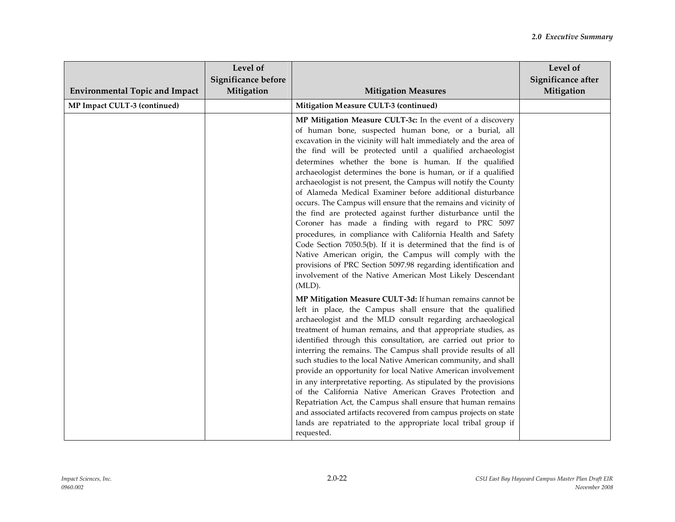| <b>Environmental Topic and Impact</b> | Level of<br>Significance before<br>Mitigation | <b>Mitigation Measures</b>                                                                                                                                                                                                                                                                                                                                                                                                                                                                                                                                                                                                                                                                                                                                                                                                                                                                                                                                                                                                                         | Level of<br>Significance after<br>Mitigation |
|---------------------------------------|-----------------------------------------------|----------------------------------------------------------------------------------------------------------------------------------------------------------------------------------------------------------------------------------------------------------------------------------------------------------------------------------------------------------------------------------------------------------------------------------------------------------------------------------------------------------------------------------------------------------------------------------------------------------------------------------------------------------------------------------------------------------------------------------------------------------------------------------------------------------------------------------------------------------------------------------------------------------------------------------------------------------------------------------------------------------------------------------------------------|----------------------------------------------|
| MP Impact CULT-3 (continued)          |                                               | Mitigation Measure CULT-3 (continued)                                                                                                                                                                                                                                                                                                                                                                                                                                                                                                                                                                                                                                                                                                                                                                                                                                                                                                                                                                                                              |                                              |
|                                       |                                               | MP Mitigation Measure CULT-3c: In the event of a discovery<br>of human bone, suspected human bone, or a burial, all<br>excavation in the vicinity will halt immediately and the area of<br>the find will be protected until a qualified archaeologist<br>determines whether the bone is human. If the qualified<br>archaeologist determines the bone is human, or if a qualified<br>archaeologist is not present, the Campus will notify the County<br>of Alameda Medical Examiner before additional disturbance<br>occurs. The Campus will ensure that the remains and vicinity of<br>the find are protected against further disturbance until the<br>Coroner has made a finding with regard to PRC 5097<br>procedures, in compliance with California Health and Safety<br>Code Section 7050.5(b). If it is determined that the find is of<br>Native American origin, the Campus will comply with the<br>provisions of PRC Section 5097.98 regarding identification and<br>involvement of the Native American Most Likely Descendant<br>$(MLD)$ . |                                              |
|                                       |                                               | MP Mitigation Measure CULT-3d: If human remains cannot be<br>left in place, the Campus shall ensure that the qualified<br>archaeologist and the MLD consult regarding archaeological<br>treatment of human remains, and that appropriate studies, as<br>identified through this consultation, are carried out prior to<br>interring the remains. The Campus shall provide results of all<br>such studies to the local Native American community, and shall<br>provide an opportunity for local Native American involvement<br>in any interpretative reporting. As stipulated by the provisions<br>of the California Native American Graves Protection and<br>Repatriation Act, the Campus shall ensure that human remains<br>and associated artifacts recovered from campus projects on state<br>lands are repatriated to the appropriate local tribal group if<br>requested.                                                                                                                                                                      |                                              |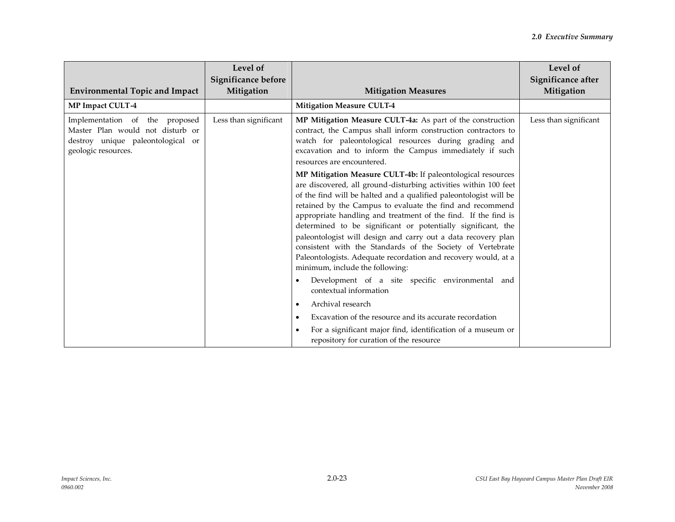| <b>Environmental Topic and Impact</b>                                                                                          | Level of<br>Significance before<br>Mitigation | <b>Mitigation Measures</b>                                                                                                                                                                                                                                                                                                                                                                                                                                                                                                                                                                                                                                                                                                                                                                                                                                                             | Level of<br>Significance after<br>Mitigation |
|--------------------------------------------------------------------------------------------------------------------------------|-----------------------------------------------|----------------------------------------------------------------------------------------------------------------------------------------------------------------------------------------------------------------------------------------------------------------------------------------------------------------------------------------------------------------------------------------------------------------------------------------------------------------------------------------------------------------------------------------------------------------------------------------------------------------------------------------------------------------------------------------------------------------------------------------------------------------------------------------------------------------------------------------------------------------------------------------|----------------------------------------------|
| MP Impact CULT-4                                                                                                               |                                               | <b>Mitigation Measure CULT-4</b>                                                                                                                                                                                                                                                                                                                                                                                                                                                                                                                                                                                                                                                                                                                                                                                                                                                       |                                              |
| Implementation of the proposed<br>Master Plan would not disturb or<br>destroy unique paleontological or<br>geologic resources. | Less than significant                         | MP Mitigation Measure CULT-4a: As part of the construction<br>contract, the Campus shall inform construction contractors to<br>watch for paleontological resources during grading and<br>excavation and to inform the Campus immediately if such<br>resources are encountered.<br>MP Mitigation Measure CULT-4b: If paleontological resources<br>are discovered, all ground-disturbing activities within 100 feet<br>of the find will be halted and a qualified paleontologist will be<br>retained by the Campus to evaluate the find and recommend<br>appropriate handling and treatment of the find. If the find is<br>determined to be significant or potentially significant, the<br>paleontologist will design and carry out a data recovery plan<br>consistent with the Standards of the Society of Vertebrate<br>Paleontologists. Adequate recordation and recovery would, at a | Less than significant                        |
|                                                                                                                                |                                               | minimum, include the following:                                                                                                                                                                                                                                                                                                                                                                                                                                                                                                                                                                                                                                                                                                                                                                                                                                                        |                                              |
|                                                                                                                                |                                               | Development of a site specific environmental and<br>contextual information                                                                                                                                                                                                                                                                                                                                                                                                                                                                                                                                                                                                                                                                                                                                                                                                             |                                              |
|                                                                                                                                |                                               | Archival research<br>٠                                                                                                                                                                                                                                                                                                                                                                                                                                                                                                                                                                                                                                                                                                                                                                                                                                                                 |                                              |
|                                                                                                                                |                                               | Excavation of the resource and its accurate recordation                                                                                                                                                                                                                                                                                                                                                                                                                                                                                                                                                                                                                                                                                                                                                                                                                                |                                              |
|                                                                                                                                |                                               | For a significant major find, identification of a museum or<br>$\bullet$<br>repository for curation of the resource                                                                                                                                                                                                                                                                                                                                                                                                                                                                                                                                                                                                                                                                                                                                                                    |                                              |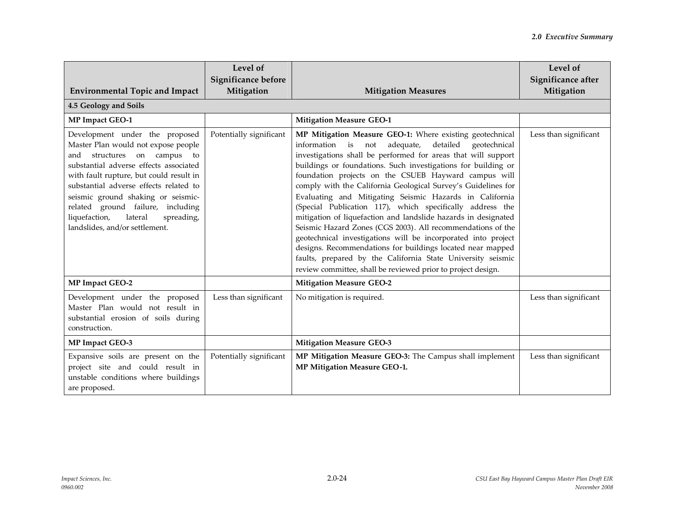| <b>Environmental Topic and Impact</b><br>4.5 Geology and Soils                                                                                                                                                                                                                                                                                                                                   | Level of<br>Significance before<br>Mitigation | <b>Mitigation Measures</b>                                                                                                                                                                                                                                                                                                                                                                                                                                                                                                                                                                                                                                                                                                                                                                                                                                                                             | Level of<br>Significance after<br>Mitigation |
|--------------------------------------------------------------------------------------------------------------------------------------------------------------------------------------------------------------------------------------------------------------------------------------------------------------------------------------------------------------------------------------------------|-----------------------------------------------|--------------------------------------------------------------------------------------------------------------------------------------------------------------------------------------------------------------------------------------------------------------------------------------------------------------------------------------------------------------------------------------------------------------------------------------------------------------------------------------------------------------------------------------------------------------------------------------------------------------------------------------------------------------------------------------------------------------------------------------------------------------------------------------------------------------------------------------------------------------------------------------------------------|----------------------------------------------|
| MP Impact GEO-1                                                                                                                                                                                                                                                                                                                                                                                  |                                               | <b>Mitigation Measure GEO-1</b>                                                                                                                                                                                                                                                                                                                                                                                                                                                                                                                                                                                                                                                                                                                                                                                                                                                                        |                                              |
| Development under the proposed<br>Master Plan would not expose people<br>campus to<br>structures on<br>and<br>substantial adverse effects associated<br>with fault rupture, but could result in<br>substantial adverse effects related to<br>seismic ground shaking or seismic-<br>related ground failure, including<br>liquefaction,<br>lateral<br>spreading,<br>landslides, and/or settlement. | Potentially significant                       | MP Mitigation Measure GEO-1: Where existing geotechnical<br>information is not adequate,<br>detailed<br>geotechnical<br>investigations shall be performed for areas that will support<br>buildings or foundations. Such investigations for building or<br>foundation projects on the CSUEB Hayward campus will<br>comply with the California Geological Survey's Guidelines for<br>Evaluating and Mitigating Seismic Hazards in California<br>(Special Publication 117), which specifically address the<br>mitigation of liquefaction and landslide hazards in designated<br>Seismic Hazard Zones (CGS 2003). All recommendations of the<br>geotechnical investigations will be incorporated into project<br>designs. Recommendations for buildings located near mapped<br>faults, prepared by the California State University seismic<br>review committee, shall be reviewed prior to project design. | Less than significant                        |
| MP Impact GEO-2                                                                                                                                                                                                                                                                                                                                                                                  |                                               | <b>Mitigation Measure GEO-2</b>                                                                                                                                                                                                                                                                                                                                                                                                                                                                                                                                                                                                                                                                                                                                                                                                                                                                        |                                              |
| Development under the proposed<br>Master Plan would not result in<br>substantial erosion of soils during<br>construction.                                                                                                                                                                                                                                                                        | Less than significant                         | No mitigation is required.                                                                                                                                                                                                                                                                                                                                                                                                                                                                                                                                                                                                                                                                                                                                                                                                                                                                             | Less than significant                        |
| MP Impact GEO-3                                                                                                                                                                                                                                                                                                                                                                                  |                                               | <b>Mitigation Measure GEO-3</b>                                                                                                                                                                                                                                                                                                                                                                                                                                                                                                                                                                                                                                                                                                                                                                                                                                                                        |                                              |
| Expansive soils are present on the<br>project site and could result in<br>unstable conditions where buildings<br>are proposed.                                                                                                                                                                                                                                                                   | Potentially significant                       | MP Mitigation Measure GEO-3: The Campus shall implement<br>MP Mitigation Measure GEO-1.                                                                                                                                                                                                                                                                                                                                                                                                                                                                                                                                                                                                                                                                                                                                                                                                                | Less than significant                        |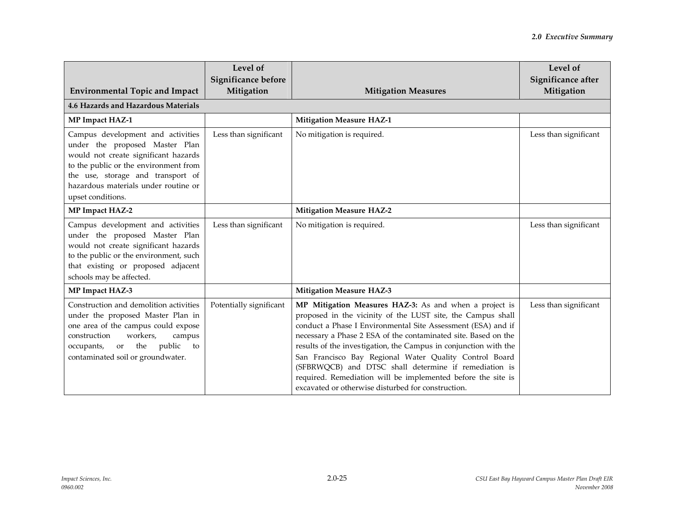| <b>Environmental Topic and Impact</b>                                                                                                                                                                                                                  | Level of<br>Significance before<br>Mitigation | <b>Mitigation Measures</b>                                                                                                                                                                                                                                                                                                                                                                                                                                                                                                                                           | Level of<br>Significance after<br>Mitigation |
|--------------------------------------------------------------------------------------------------------------------------------------------------------------------------------------------------------------------------------------------------------|-----------------------------------------------|----------------------------------------------------------------------------------------------------------------------------------------------------------------------------------------------------------------------------------------------------------------------------------------------------------------------------------------------------------------------------------------------------------------------------------------------------------------------------------------------------------------------------------------------------------------------|----------------------------------------------|
| <b>4.6 Hazards and Hazardous Materials</b>                                                                                                                                                                                                             |                                               |                                                                                                                                                                                                                                                                                                                                                                                                                                                                                                                                                                      |                                              |
| MP Impact HAZ-1                                                                                                                                                                                                                                        |                                               | <b>Mitigation Measure HAZ-1</b>                                                                                                                                                                                                                                                                                                                                                                                                                                                                                                                                      |                                              |
| Campus development and activities<br>under the proposed Master Plan<br>would not create significant hazards<br>to the public or the environment from<br>the use, storage and transport of<br>hazardous materials under routine or<br>upset conditions. | Less than significant                         | No mitigation is required.                                                                                                                                                                                                                                                                                                                                                                                                                                                                                                                                           | Less than significant                        |
| <b>MP Impact HAZ-2</b>                                                                                                                                                                                                                                 |                                               | <b>Mitigation Measure HAZ-2</b>                                                                                                                                                                                                                                                                                                                                                                                                                                                                                                                                      |                                              |
| Campus development and activities<br>under the proposed Master Plan<br>would not create significant hazards<br>to the public or the environment, such<br>that existing or proposed adjacent<br>schools may be affected.                                | Less than significant                         | No mitigation is required.                                                                                                                                                                                                                                                                                                                                                                                                                                                                                                                                           | Less than significant                        |
| MP Impact HAZ-3                                                                                                                                                                                                                                        |                                               | <b>Mitigation Measure HAZ-3</b>                                                                                                                                                                                                                                                                                                                                                                                                                                                                                                                                      |                                              |
| Construction and demolition activities<br>under the proposed Master Plan in<br>one area of the campus could expose<br>workers,<br>construction<br>campus<br>the<br>public<br>occupants,<br>$\,$ or<br>to<br>contaminated soil or groundwater.          | Potentially significant                       | MP Mitigation Measures HAZ-3: As and when a project is<br>proposed in the vicinity of the LUST site, the Campus shall<br>conduct a Phase I Environmental Site Assessment (ESA) and if<br>necessary a Phase 2 ESA of the contaminated site. Based on the<br>results of the investigation, the Campus in conjunction with the<br>San Francisco Bay Regional Water Quality Control Board<br>(SFBRWQCB) and DTSC shall determine if remediation is<br>required. Remediation will be implemented before the site is<br>excavated or otherwise disturbed for construction. | Less than significant                        |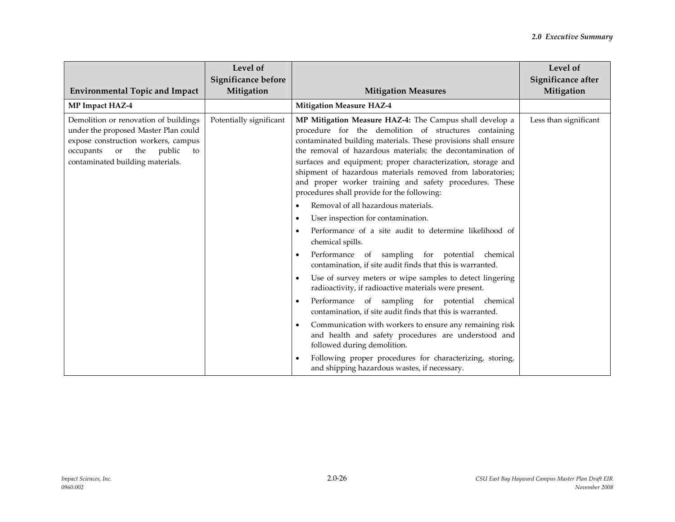| <b>Environmental Topic and Impact</b>                                                                                                                                                        | Level of<br>Significance before<br>Mitigation | <b>Mitigation Measures</b>                                                                                                                                                                                                                                                                                                                                                                                                                                                                                                                                                                                                                                                                                                                                                                                                                                                                                                                                                                                                                                                                                                                                                                                                                                            | Level of<br>Significance after<br>Mitigation |
|----------------------------------------------------------------------------------------------------------------------------------------------------------------------------------------------|-----------------------------------------------|-----------------------------------------------------------------------------------------------------------------------------------------------------------------------------------------------------------------------------------------------------------------------------------------------------------------------------------------------------------------------------------------------------------------------------------------------------------------------------------------------------------------------------------------------------------------------------------------------------------------------------------------------------------------------------------------------------------------------------------------------------------------------------------------------------------------------------------------------------------------------------------------------------------------------------------------------------------------------------------------------------------------------------------------------------------------------------------------------------------------------------------------------------------------------------------------------------------------------------------------------------------------------|----------------------------------------------|
| MP Impact HAZ-4                                                                                                                                                                              |                                               | <b>Mitigation Measure HAZ-4</b>                                                                                                                                                                                                                                                                                                                                                                                                                                                                                                                                                                                                                                                                                                                                                                                                                                                                                                                                                                                                                                                                                                                                                                                                                                       |                                              |
| Demolition or renovation of buildings<br>under the proposed Master Plan could<br>expose construction workers, campus<br>occupants<br>or the public<br>to<br>contaminated building materials. | Potentially significant                       | MP Mitigation Measure HAZ-4: The Campus shall develop a<br>procedure for the demolition of structures containing<br>contaminated building materials. These provisions shall ensure<br>the removal of hazardous materials; the decontamination of<br>surfaces and equipment; proper characterization, storage and<br>shipment of hazardous materials removed from laboratories;<br>and proper worker training and safety procedures. These<br>procedures shall provide for the following:<br>Removal of all hazardous materials.<br>User inspection for contamination.<br>Performance of a site audit to determine likelihood of<br>chemical spills.<br>Performance of sampling for potential chemical<br>contamination, if site audit finds that this is warranted.<br>Use of survey meters or wipe samples to detect lingering<br>radioactivity, if radioactive materials were present.<br>Performance of sampling for potential chemical<br>contamination, if site audit finds that this is warranted.<br>Communication with workers to ensure any remaining risk<br>and health and safety procedures are understood and<br>followed during demolition.<br>Following proper procedures for characterizing, storing,<br>and shipping hazardous wastes, if necessary. | Less than significant                        |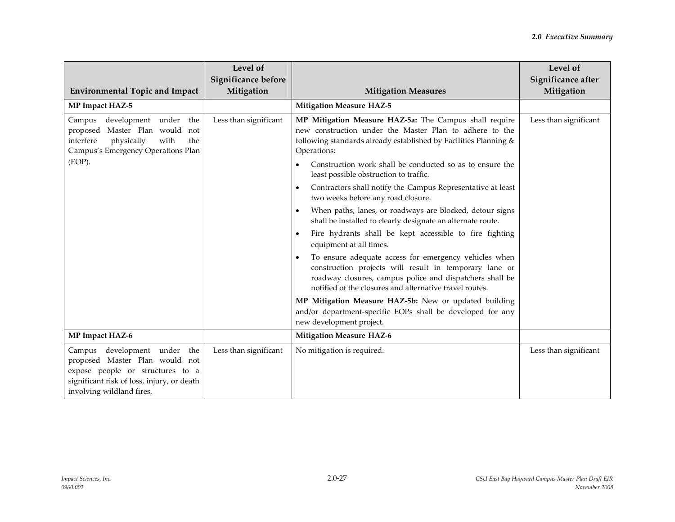| <b>Environmental Topic and Impact</b>                                                                                                                                         | Level of<br>Significance before<br>Mitigation | <b>Mitigation Measures</b>                                                                                                                                                                                                                          | Level of<br>Significance after<br>Mitigation |
|-------------------------------------------------------------------------------------------------------------------------------------------------------------------------------|-----------------------------------------------|-----------------------------------------------------------------------------------------------------------------------------------------------------------------------------------------------------------------------------------------------------|----------------------------------------------|
| MP Impact HAZ-5                                                                                                                                                               |                                               | <b>Mitigation Measure HAZ-5</b>                                                                                                                                                                                                                     |                                              |
| development under the<br>Campus<br>Master Plan would not<br>proposed<br>interfere<br>physically<br>with<br>the<br>Campus's Emergency Operations Plan                          | Less than significant                         | MP Mitigation Measure HAZ-5a: The Campus shall require<br>new construction under the Master Plan to adhere to the<br>following standards already established by Facilities Planning &<br>Operations:                                                | Less than significant                        |
| (EOP).                                                                                                                                                                        |                                               | Construction work shall be conducted so as to ensure the<br>least possible obstruction to traffic.                                                                                                                                                  |                                              |
|                                                                                                                                                                               |                                               | Contractors shall notify the Campus Representative at least<br>$\bullet$<br>two weeks before any road closure.                                                                                                                                      |                                              |
|                                                                                                                                                                               |                                               | When paths, lanes, or roadways are blocked, detour signs<br>$\bullet$<br>shall be installed to clearly designate an alternate route.                                                                                                                |                                              |
|                                                                                                                                                                               |                                               | Fire hydrants shall be kept accessible to fire fighting<br>$\bullet$<br>equipment at all times.                                                                                                                                                     |                                              |
|                                                                                                                                                                               |                                               | To ensure adequate access for emergency vehicles when<br>$\bullet$<br>construction projects will result in temporary lane or<br>roadway closures, campus police and dispatchers shall be<br>notified of the closures and alternative travel routes. |                                              |
|                                                                                                                                                                               |                                               | MP Mitigation Measure HAZ-5b: New or updated building<br>and/or department-specific EOPs shall be developed for any<br>new development project.                                                                                                     |                                              |
| MP Impact HAZ-6                                                                                                                                                               |                                               | <b>Mitigation Measure HAZ-6</b>                                                                                                                                                                                                                     |                                              |
| Campus development under the<br>proposed Master Plan would not<br>expose people or structures to a<br>significant risk of loss, injury, or death<br>involving wildland fires. | Less than significant                         | No mitigation is required.                                                                                                                                                                                                                          | Less than significant                        |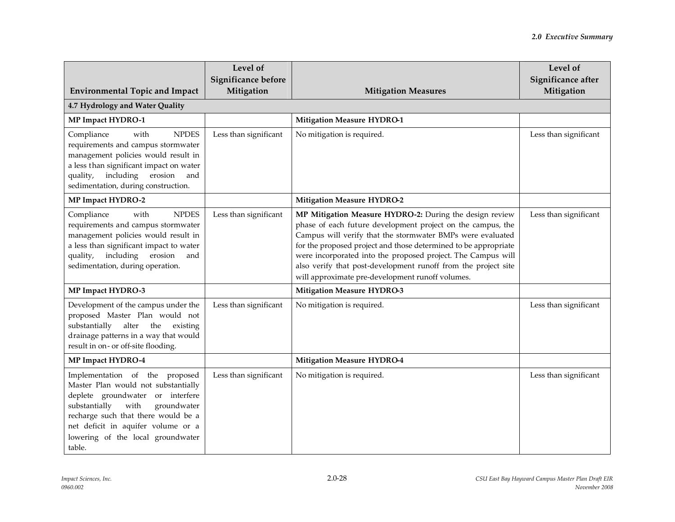|                                                                                                                                                                                                                                                                               | Level of<br>Significance before |                                                                                                                                                                                                                                                                                                                                                                                                                                               | Level of<br>Significance after |
|-------------------------------------------------------------------------------------------------------------------------------------------------------------------------------------------------------------------------------------------------------------------------------|---------------------------------|-----------------------------------------------------------------------------------------------------------------------------------------------------------------------------------------------------------------------------------------------------------------------------------------------------------------------------------------------------------------------------------------------------------------------------------------------|--------------------------------|
| <b>Environmental Topic and Impact</b>                                                                                                                                                                                                                                         | Mitigation                      | <b>Mitigation Measures</b>                                                                                                                                                                                                                                                                                                                                                                                                                    | Mitigation                     |
| 4.7 Hydrology and Water Quality                                                                                                                                                                                                                                               |                                 |                                                                                                                                                                                                                                                                                                                                                                                                                                               |                                |
| <b>MP Impact HYDRO-1</b>                                                                                                                                                                                                                                                      |                                 | <b>Mitigation Measure HYDRO-1</b>                                                                                                                                                                                                                                                                                                                                                                                                             |                                |
| Compliance<br><b>NPDES</b><br>with<br>requirements and campus stormwater<br>management policies would result in<br>a less than significant impact on water<br>erosion<br>including<br>quality,<br>and<br>sedimentation, during construction.                                  | Less than significant           | No mitigation is required.                                                                                                                                                                                                                                                                                                                                                                                                                    | Less than significant          |
| <b>MP Impact HYDRO-2</b>                                                                                                                                                                                                                                                      |                                 | <b>Mitigation Measure HYDRO-2</b>                                                                                                                                                                                                                                                                                                                                                                                                             |                                |
| Compliance<br><b>NPDES</b><br>with<br>requirements and campus stormwater<br>management policies would result in<br>a less than significant impact to water<br>including erosion<br>quality,<br>and<br>sedimentation, during operation.                                        | Less than significant           | MP Mitigation Measure HYDRO-2: During the design review<br>phase of each future development project on the campus, the<br>Campus will verify that the stormwater BMPs were evaluated<br>for the proposed project and those determined to be appropriate<br>were incorporated into the proposed project. The Campus will<br>also verify that post-development runoff from the project site<br>will approximate pre-development runoff volumes. | Less than significant          |
| <b>MP Impact HYDRO-3</b>                                                                                                                                                                                                                                                      |                                 | <b>Mitigation Measure HYDRO-3</b>                                                                                                                                                                                                                                                                                                                                                                                                             |                                |
| Development of the campus under the<br>proposed Master Plan would not<br>substantially<br>alter the existing<br>drainage patterns in a way that would<br>result in on- or off-site flooding.                                                                                  | Less than significant           | No mitigation is required.                                                                                                                                                                                                                                                                                                                                                                                                                    | Less than significant          |
| <b>MP Impact HYDRO-4</b>                                                                                                                                                                                                                                                      |                                 | <b>Mitigation Measure HYDRO-4</b>                                                                                                                                                                                                                                                                                                                                                                                                             |                                |
| Implementation of the proposed<br>Master Plan would not substantially<br>deplete groundwater or interfere<br>substantially<br>with<br>groundwater<br>recharge such that there would be a<br>net deficit in aquifer volume or a<br>lowering of the local groundwater<br>table. | Less than significant           | No mitigation is required.                                                                                                                                                                                                                                                                                                                                                                                                                    | Less than significant          |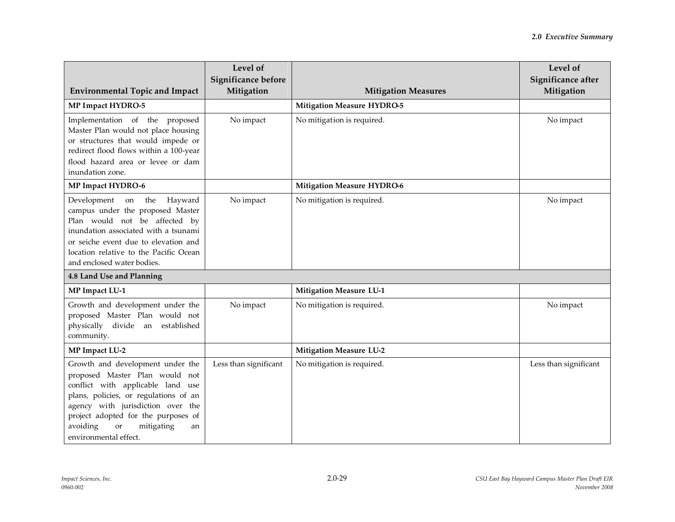| <b>Environmental Topic and Impact</b>                                                                                                                                                                                                                                                              | Level of<br>Significance before<br>Mitigation | <b>Mitigation Measures</b>        | Level of<br>Significance after<br>Mitigation |
|----------------------------------------------------------------------------------------------------------------------------------------------------------------------------------------------------------------------------------------------------------------------------------------------------|-----------------------------------------------|-----------------------------------|----------------------------------------------|
| MP Impact HYDRO-5                                                                                                                                                                                                                                                                                  |                                               | <b>Mitigation Measure HYDRO-5</b> |                                              |
| Implementation of the proposed<br>Master Plan would not place housing<br>or structures that would impede or<br>redirect flood flows within a 100-year<br>flood hazard area or levee or dam<br>inundation zone.                                                                                     | No impact                                     | No mitigation is required.        | No impact                                    |
| MP Impact HYDRO-6                                                                                                                                                                                                                                                                                  |                                               | <b>Mitigation Measure HYDRO-6</b> |                                              |
| Development<br>the<br>Hayward<br>on<br>campus under the proposed Master<br>Plan would not be affected by<br>inundation associated with a tsunami<br>or seiche event due to elevation and<br>location relative to the Pacific Ocean<br>and enclosed water bodies.                                   | No impact                                     | No mitigation is required.        | No impact                                    |
| 4.8 Land Use and Planning                                                                                                                                                                                                                                                                          |                                               |                                   |                                              |
| MP Impact LU-1                                                                                                                                                                                                                                                                                     |                                               | <b>Mitigation Measure LU-1</b>    |                                              |
| Growth and development under the<br>proposed Master Plan would not<br>physically divide an established<br>community.                                                                                                                                                                               | No impact                                     | No mitigation is required.        | No impact                                    |
| MP Impact LU-2                                                                                                                                                                                                                                                                                     |                                               | <b>Mitigation Measure LU-2</b>    |                                              |
| Growth and development under the<br>proposed Master Plan would not<br>conflict with applicable land use<br>plans, policies, or regulations of an<br>agency with jurisdiction over the<br>project adopted for the purposes of<br>avoiding<br>mitigating<br><b>or</b><br>an<br>environmental effect. | Less than significant                         | No mitigation is required.        | Less than significant                        |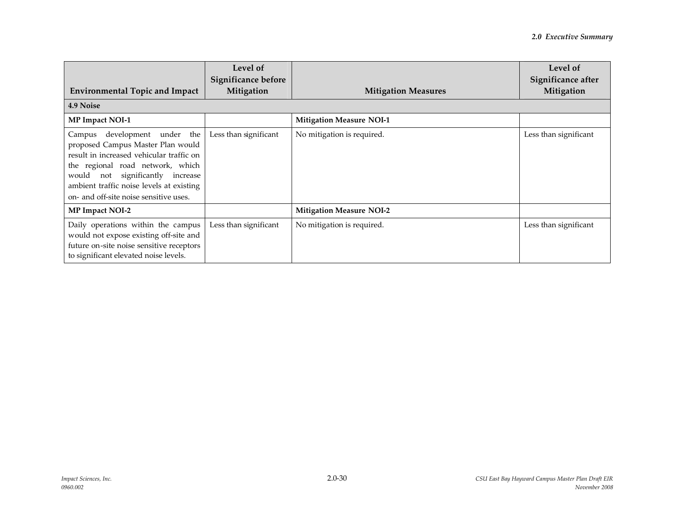| <b>Environmental Topic and Impact</b><br>4.9 Noise                                                                                                                                                                                                                                | Level of<br>Significance before<br>Mitigation | <b>Mitigation Measures</b>      | Level of<br>Significance after<br>Mitigation |
|-----------------------------------------------------------------------------------------------------------------------------------------------------------------------------------------------------------------------------------------------------------------------------------|-----------------------------------------------|---------------------------------|----------------------------------------------|
| MP Impact NOI-1                                                                                                                                                                                                                                                                   |                                               | <b>Mitigation Measure NOI-1</b> |                                              |
| development under the<br>Campus<br>proposed Campus Master Plan would<br>result in increased vehicular traffic on<br>the regional road network, which<br>not significantly increase<br>would<br>ambient traffic noise levels at existing<br>on- and off-site noise sensitive uses. | Less than significant                         | No mitigation is required.      | Less than significant                        |
| MP Impact NOI-2                                                                                                                                                                                                                                                                   |                                               | <b>Mitigation Measure NOI-2</b> |                                              |
| Daily operations within the campus<br>would not expose existing off-site and<br>future on-site noise sensitive receptors<br>to significant elevated noise levels.                                                                                                                 | Less than significant                         | No mitigation is required.      | Less than significant                        |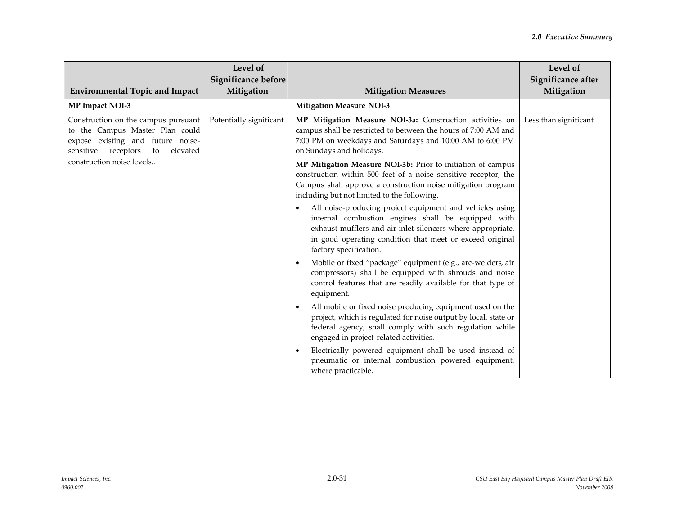| <b>Environmental Topic and Impact</b>                                                                                                                | Level of<br>Significance before<br>Mitigation | <b>Mitigation Measures</b>                                                                                                                                                                                                                                                       | Level of<br>Significance after<br>Mitigation |
|------------------------------------------------------------------------------------------------------------------------------------------------------|-----------------------------------------------|----------------------------------------------------------------------------------------------------------------------------------------------------------------------------------------------------------------------------------------------------------------------------------|----------------------------------------------|
| MP Impact NOI-3                                                                                                                                      |                                               | <b>Mitigation Measure NOI-3</b>                                                                                                                                                                                                                                                  |                                              |
| Construction on the campus pursuant<br>to the Campus Master Plan could<br>expose existing and future noise-<br>sensitive receptors<br>elevated<br>to | Potentially significant                       | MP Mitigation Measure NOI-3a: Construction activities on<br>campus shall be restricted to between the hours of 7:00 AM and<br>7:00 PM on weekdays and Saturdays and 10:00 AM to 6:00 PM<br>on Sundays and holidays.                                                              | Less than significant                        |
| construction noise levels                                                                                                                            |                                               | MP Mitigation Measure NOI-3b: Prior to initiation of campus<br>construction within 500 feet of a noise sensitive receptor, the<br>Campus shall approve a construction noise mitigation program<br>including but not limited to the following.                                    |                                              |
|                                                                                                                                                      |                                               | All noise-producing project equipment and vehicles using<br>$\bullet$<br>internal combustion engines shall be equipped with<br>exhaust mufflers and air-inlet silencers where appropriate,<br>in good operating condition that meet or exceed original<br>factory specification. |                                              |
|                                                                                                                                                      |                                               | Mobile or fixed "package" equipment (e.g., arc-welders, air<br>compressors) shall be equipped with shrouds and noise<br>control features that are readily available for that type of<br>equipment.                                                                               |                                              |
|                                                                                                                                                      |                                               | All mobile or fixed noise producing equipment used on the<br>project, which is regulated for noise output by local, state or<br>federal agency, shall comply with such regulation while<br>engaged in project-related activities.                                                |                                              |
|                                                                                                                                                      |                                               | Electrically powered equipment shall be used instead of<br>$\bullet$<br>pneumatic or internal combustion powered equipment,<br>where practicable.                                                                                                                                |                                              |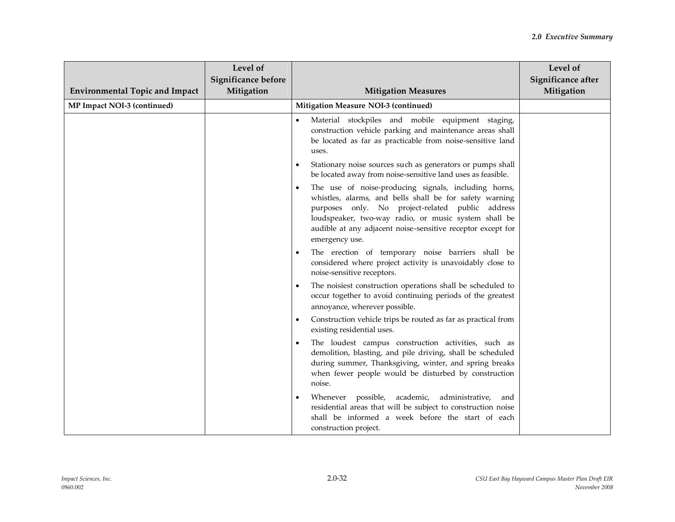| <b>Environmental Topic and Impact</b> | Level of<br>Significance before<br>Mitigation | <b>Mitigation Measures</b>                                                                                                                                                                                                                                                                                   | Level of<br>Significance after<br>Mitigation |
|---------------------------------------|-----------------------------------------------|--------------------------------------------------------------------------------------------------------------------------------------------------------------------------------------------------------------------------------------------------------------------------------------------------------------|----------------------------------------------|
| MP Impact NOI-3 (continued)           |                                               | Mitigation Measure NOI-3 (continued)                                                                                                                                                                                                                                                                         |                                              |
|                                       |                                               | Material stockpiles and mobile equipment staging,<br>construction vehicle parking and maintenance areas shall<br>be located as far as practicable from noise-sensitive land<br>uses.                                                                                                                         |                                              |
|                                       |                                               | Stationary noise sources such as generators or pumps shall<br>be located away from noise-sensitive land uses as feasible.                                                                                                                                                                                    |                                              |
|                                       |                                               | The use of noise-producing signals, including horns,<br>whistles, alarms, and bells shall be for safety warning<br>purposes only. No project-related public address<br>loudspeaker, two-way radio, or music system shall be<br>audible at any adjacent noise-sensitive receptor except for<br>emergency use. |                                              |
|                                       |                                               | The erection of temporary noise barriers shall be<br>considered where project activity is unavoidably close to<br>noise-sensitive receptors.                                                                                                                                                                 |                                              |
|                                       |                                               | The noisiest construction operations shall be scheduled to<br>occur together to avoid continuing periods of the greatest<br>annoyance, wherever possible.                                                                                                                                                    |                                              |
|                                       |                                               | Construction vehicle trips be routed as far as practical from<br>existing residential uses.                                                                                                                                                                                                                  |                                              |
|                                       |                                               | The loudest campus construction activities, such as<br>$\bullet$<br>demolition, blasting, and pile driving, shall be scheduled<br>during summer, Thanksgiving, winter, and spring breaks<br>when fewer people would be disturbed by construction<br>noise.                                                   |                                              |
|                                       |                                               | Whenever possible, academic, administrative,<br>and<br>residential areas that will be subject to construction noise<br>shall be informed a week before the start of each<br>construction project.                                                                                                            |                                              |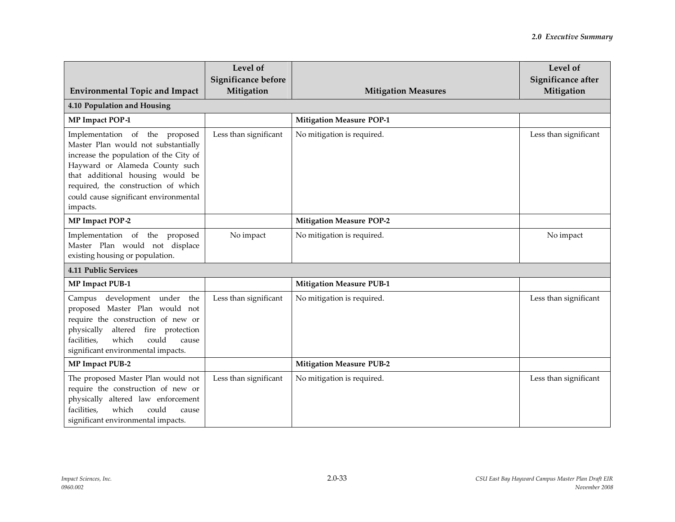| <b>Environmental Topic and Impact</b>                                                                                                                                                                                                                                             | Level of<br>Significance before<br>Mitigation | <b>Mitigation Measures</b>      | Level of<br>Significance after<br>Mitigation |  |
|-----------------------------------------------------------------------------------------------------------------------------------------------------------------------------------------------------------------------------------------------------------------------------------|-----------------------------------------------|---------------------------------|----------------------------------------------|--|
| 4.10 Population and Housing                                                                                                                                                                                                                                                       |                                               |                                 |                                              |  |
| MP Impact POP-1                                                                                                                                                                                                                                                                   |                                               | <b>Mitigation Measure POP-1</b> |                                              |  |
| Implementation of the proposed<br>Master Plan would not substantially<br>increase the population of the City of<br>Hayward or Alameda County such<br>that additional housing would be<br>required, the construction of which<br>could cause significant environmental<br>impacts. | Less than significant                         | No mitigation is required.      | Less than significant                        |  |
| MP Impact POP-2                                                                                                                                                                                                                                                                   |                                               | <b>Mitigation Measure POP-2</b> |                                              |  |
| Implementation of the proposed<br>Master Plan would not displace<br>existing housing or population.                                                                                                                                                                               | No impact                                     | No mitigation is required.      | No impact                                    |  |
| <b>4.11 Public Services</b>                                                                                                                                                                                                                                                       |                                               |                                 |                                              |  |
| <b>MP Impact PUB-1</b>                                                                                                                                                                                                                                                            |                                               | <b>Mitigation Measure PUB-1</b> |                                              |  |
| development under the<br>Campus<br>proposed Master Plan would not<br>require the construction of new or<br>physically<br>fire protection<br>altered<br>facilities,<br>which<br>could<br>cause<br>significant environmental impacts.                                               | Less than significant                         | No mitigation is required.      | Less than significant                        |  |
| <b>MP Impact PUB-2</b>                                                                                                                                                                                                                                                            |                                               | <b>Mitigation Measure PUB-2</b> |                                              |  |
| The proposed Master Plan would not<br>require the construction of new or<br>physically altered law enforcement<br>facilities,<br>which<br>could<br>cause<br>significant environmental impacts.                                                                                    | Less than significant                         | No mitigation is required.      | Less than significant                        |  |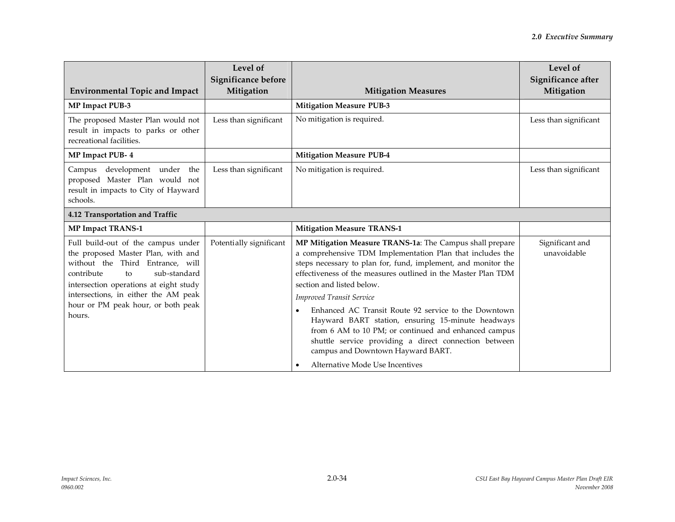| <b>Environmental Topic and Impact</b>                                                                                                                                                                                                                                              | Level of<br>Significance before<br>Mitigation | <b>Mitigation Measures</b>                                                                                                                                                                                                                                                                                                                                                                                                                                                                                                                                                                                                    | Level of<br>Significance after<br>Mitigation |
|------------------------------------------------------------------------------------------------------------------------------------------------------------------------------------------------------------------------------------------------------------------------------------|-----------------------------------------------|-------------------------------------------------------------------------------------------------------------------------------------------------------------------------------------------------------------------------------------------------------------------------------------------------------------------------------------------------------------------------------------------------------------------------------------------------------------------------------------------------------------------------------------------------------------------------------------------------------------------------------|----------------------------------------------|
| MP Impact PUB-3                                                                                                                                                                                                                                                                    |                                               | <b>Mitigation Measure PUB-3</b>                                                                                                                                                                                                                                                                                                                                                                                                                                                                                                                                                                                               |                                              |
| The proposed Master Plan would not<br>result in impacts to parks or other<br>recreational facilities.                                                                                                                                                                              | Less than significant                         | No mitigation is required.                                                                                                                                                                                                                                                                                                                                                                                                                                                                                                                                                                                                    | Less than significant                        |
| MP Impact PUB- 4                                                                                                                                                                                                                                                                   |                                               | <b>Mitigation Measure PUB-4</b>                                                                                                                                                                                                                                                                                                                                                                                                                                                                                                                                                                                               |                                              |
| development under the<br>Campus<br>proposed Master Plan would not<br>result in impacts to City of Hayward<br>schools.                                                                                                                                                              | Less than significant                         | No mitigation is required.                                                                                                                                                                                                                                                                                                                                                                                                                                                                                                                                                                                                    | Less than significant                        |
| 4.12 Transportation and Traffic                                                                                                                                                                                                                                                    |                                               |                                                                                                                                                                                                                                                                                                                                                                                                                                                                                                                                                                                                                               |                                              |
| <b>MP Impact TRANS-1</b>                                                                                                                                                                                                                                                           |                                               | <b>Mitigation Measure TRANS-1</b>                                                                                                                                                                                                                                                                                                                                                                                                                                                                                                                                                                                             |                                              |
| Full build-out of the campus under<br>the proposed Master Plan, with and<br>without the Third Entrance, will<br>contribute<br>sub-standard<br>to<br>intersection operations at eight study<br>intersections, in either the AM peak<br>hour or PM peak hour, or both peak<br>hours. | Potentially significant                       | MP Mitigation Measure TRANS-1a: The Campus shall prepare<br>a comprehensive TDM Implementation Plan that includes the<br>steps necessary to plan for, fund, implement, and monitor the<br>effectiveness of the measures outlined in the Master Plan TDM<br>section and listed below.<br><b>Improved Transit Service</b><br>Enhanced AC Transit Route 92 service to the Downtown<br>Hayward BART station, ensuring 15-minute headways<br>from 6 AM to 10 PM; or continued and enhanced campus<br>shuttle service providing a direct connection between<br>campus and Downtown Hayward BART.<br>Alternative Mode Use Incentives | Significant and<br>unavoidable               |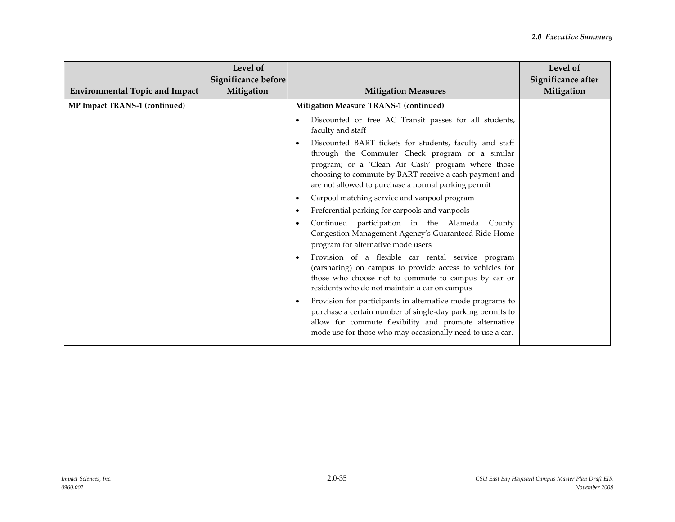| <b>Environmental Topic and Impact</b> | Level of<br>Significance before<br>Mitigation | <b>Mitigation Measures</b>                                                                                                                                                                                                                                                        | Level of<br>Significance after<br>Mitigation |
|---------------------------------------|-----------------------------------------------|-----------------------------------------------------------------------------------------------------------------------------------------------------------------------------------------------------------------------------------------------------------------------------------|----------------------------------------------|
| <b>MP Impact TRANS-1 (continued)</b>  |                                               | Mitigation Measure TRANS-1 (continued)                                                                                                                                                                                                                                            |                                              |
|                                       |                                               | Discounted or free AC Transit passes for all students,<br>faculty and staff                                                                                                                                                                                                       |                                              |
|                                       |                                               | Discounted BART tickets for students, faculty and staff<br>through the Commuter Check program or a similar<br>program; or a 'Clean Air Cash' program where those<br>choosing to commute by BART receive a cash payment and<br>are not allowed to purchase a normal parking permit |                                              |
|                                       |                                               | Carpool matching service and vanpool program                                                                                                                                                                                                                                      |                                              |
|                                       |                                               | Preferential parking for carpools and vanpools                                                                                                                                                                                                                                    |                                              |
|                                       |                                               | Continued participation in the Alameda County<br>Congestion Management Agency's Guaranteed Ride Home<br>program for alternative mode users                                                                                                                                        |                                              |
|                                       |                                               | Provision of a flexible car rental service program<br>(carsharing) on campus to provide access to vehicles for<br>those who choose not to commute to campus by car or<br>residents who do not maintain a car on campus                                                            |                                              |
|                                       |                                               | Provision for participants in alternative mode programs to<br>purchase a certain number of single-day parking permits to<br>allow for commute flexibility and promote alternative<br>mode use for those who may occasionally need to use a car.                                   |                                              |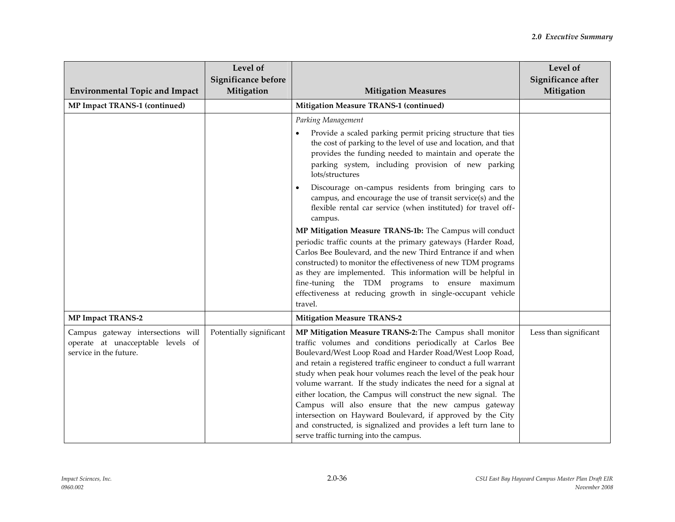| <b>Environmental Topic and Impact</b>                                                            | Level of<br>Significance before<br>Mitigation | <b>Mitigation Measures</b>                                                                                                                                                                                                                                                                                                                                                                                                                                                                                                                                                                                                                                                                     | Level of<br>Significance after<br>Mitigation |
|--------------------------------------------------------------------------------------------------|-----------------------------------------------|------------------------------------------------------------------------------------------------------------------------------------------------------------------------------------------------------------------------------------------------------------------------------------------------------------------------------------------------------------------------------------------------------------------------------------------------------------------------------------------------------------------------------------------------------------------------------------------------------------------------------------------------------------------------------------------------|----------------------------------------------|
| MP Impact TRANS-1 (continued)                                                                    |                                               | Mitigation Measure TRANS-1 (continued)                                                                                                                                                                                                                                                                                                                                                                                                                                                                                                                                                                                                                                                         |                                              |
|                                                                                                  |                                               | Parking Management                                                                                                                                                                                                                                                                                                                                                                                                                                                                                                                                                                                                                                                                             |                                              |
|                                                                                                  |                                               | Provide a scaled parking permit pricing structure that ties<br>the cost of parking to the level of use and location, and that<br>provides the funding needed to maintain and operate the<br>parking system, including provision of new parking<br>lots/structures                                                                                                                                                                                                                                                                                                                                                                                                                              |                                              |
|                                                                                                  |                                               | Discourage on-campus residents from bringing cars to<br>campus, and encourage the use of transit service(s) and the<br>flexible rental car service (when instituted) for travel off-<br>campus.                                                                                                                                                                                                                                                                                                                                                                                                                                                                                                |                                              |
|                                                                                                  |                                               | MP Mitigation Measure TRANS-1b: The Campus will conduct<br>periodic traffic counts at the primary gateways (Harder Road,                                                                                                                                                                                                                                                                                                                                                                                                                                                                                                                                                                       |                                              |
|                                                                                                  |                                               | Carlos Bee Boulevard, and the new Third Entrance if and when<br>constructed) to monitor the effectiveness of new TDM programs<br>as they are implemented. This information will be helpful in                                                                                                                                                                                                                                                                                                                                                                                                                                                                                                  |                                              |
|                                                                                                  |                                               | fine-tuning the TDM programs to ensure maximum<br>effectiveness at reducing growth in single-occupant vehicle<br>travel.                                                                                                                                                                                                                                                                                                                                                                                                                                                                                                                                                                       |                                              |
| <b>MP Impact TRANS-2</b>                                                                         |                                               | <b>Mitigation Measure TRANS-2</b>                                                                                                                                                                                                                                                                                                                                                                                                                                                                                                                                                                                                                                                              |                                              |
| Campus gateway intersections will<br>operate at unacceptable levels of<br>service in the future. | Potentially significant                       | MP Mitigation Measure TRANS-2: The Campus shall monitor<br>traffic volumes and conditions periodically at Carlos Bee<br>Boulevard/West Loop Road and Harder Road/West Loop Road,<br>and retain a registered traffic engineer to conduct a full warrant<br>study when peak hour volumes reach the level of the peak hour<br>volume warrant. If the study indicates the need for a signal at<br>either location, the Campus will construct the new signal. The<br>Campus will also ensure that the new campus gateway<br>intersection on Hayward Boulevard, if approved by the City<br>and constructed, is signalized and provides a left turn lane to<br>serve traffic turning into the campus. | Less than significant                        |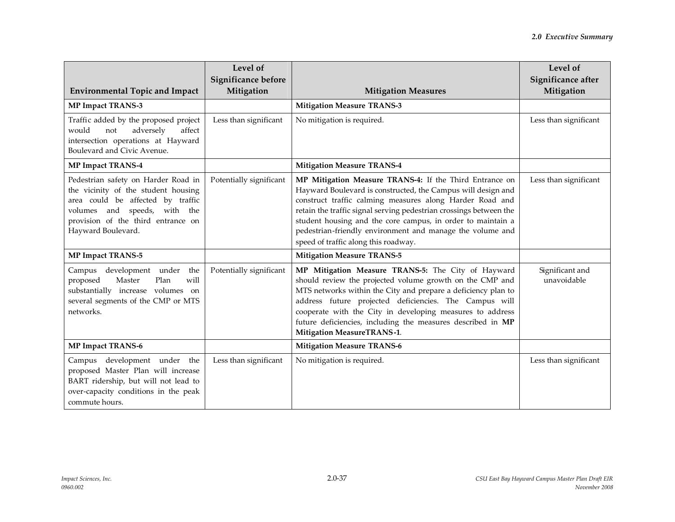| <b>Environmental Topic and Impact</b>                                                                                                                                                                          | Level of<br>Significance before<br>Mitigation | <b>Mitigation Measures</b>                                                                                                                                                                                                                                                                                                                                                                                                    | Level of<br>Significance after<br>Mitigation |
|----------------------------------------------------------------------------------------------------------------------------------------------------------------------------------------------------------------|-----------------------------------------------|-------------------------------------------------------------------------------------------------------------------------------------------------------------------------------------------------------------------------------------------------------------------------------------------------------------------------------------------------------------------------------------------------------------------------------|----------------------------------------------|
| <b>MP Impact TRANS-3</b>                                                                                                                                                                                       |                                               | <b>Mitigation Measure TRANS-3</b>                                                                                                                                                                                                                                                                                                                                                                                             |                                              |
| Traffic added by the proposed project<br>would<br>adversely<br>not<br>affect<br>intersection operations at Hayward<br>Boulevard and Civic Avenue.                                                              | Less than significant                         | No mitigation is required.                                                                                                                                                                                                                                                                                                                                                                                                    | Less than significant                        |
| <b>MP Impact TRANS-4</b>                                                                                                                                                                                       |                                               | <b>Mitigation Measure TRANS-4</b>                                                                                                                                                                                                                                                                                                                                                                                             |                                              |
| Pedestrian safety on Harder Road in<br>the vicinity of the student housing<br>area could be affected by traffic<br>and speeds, with the<br>volumes<br>provision of the third entrance on<br>Hayward Boulevard. | Potentially significant                       | MP Mitigation Measure TRANS-4: If the Third Entrance on<br>Hayward Boulevard is constructed, the Campus will design and<br>construct traffic calming measures along Harder Road and<br>retain the traffic signal serving pedestrian crossings between the<br>student housing and the core campus, in order to maintain a<br>pedestrian-friendly environment and manage the volume and<br>speed of traffic along this roadway. | Less than significant                        |
| <b>MP Impact TRANS-5</b>                                                                                                                                                                                       |                                               | <b>Mitigation Measure TRANS-5</b>                                                                                                                                                                                                                                                                                                                                                                                             |                                              |
| development under the<br>Campus<br>Master<br>Plan<br>will<br>proposed<br>substantially increase volumes on<br>several segments of the CMP or MTS<br>networks.                                                  | Potentially significant                       | MP Mitigation Measure TRANS-5: The City of Hayward<br>should review the projected volume growth on the CMP and<br>MTS networks within the City and prepare a deficiency plan to<br>address future projected deficiencies. The Campus will<br>cooperate with the City in developing measures to address<br>future deficiencies, including the measures described in MP<br><b>Mitigation MeasureTRANS-1.</b>                    | Significant and<br>unavoidable               |
| <b>MP Impact TRANS-6</b>                                                                                                                                                                                       |                                               | <b>Mitigation Measure TRANS-6</b>                                                                                                                                                                                                                                                                                                                                                                                             |                                              |
| Campus development under the<br>proposed Master Plan will increase<br>BART ridership, but will not lead to<br>over-capacity conditions in the peak<br>commute hours.                                           | Less than significant                         | No mitigation is required.                                                                                                                                                                                                                                                                                                                                                                                                    | Less than significant                        |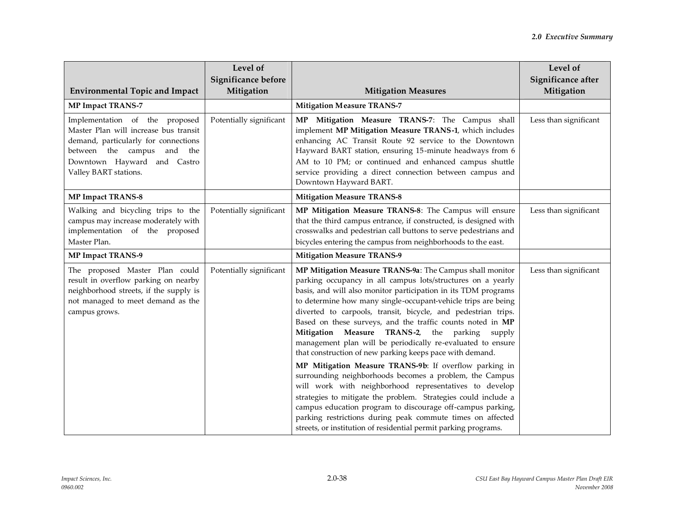| <b>Environmental Topic and Impact</b>                                                                                                                                                                       | Level of<br>Significance before<br>Mitigation | <b>Mitigation Measures</b>                                                                                                                                                                                                                                                                                                                                                                                                                                                                                                                                                                                                                                                                                                                                                                                                                                                                                                                                                                                                | Level of<br>Significance after<br>Mitigation |
|-------------------------------------------------------------------------------------------------------------------------------------------------------------------------------------------------------------|-----------------------------------------------|---------------------------------------------------------------------------------------------------------------------------------------------------------------------------------------------------------------------------------------------------------------------------------------------------------------------------------------------------------------------------------------------------------------------------------------------------------------------------------------------------------------------------------------------------------------------------------------------------------------------------------------------------------------------------------------------------------------------------------------------------------------------------------------------------------------------------------------------------------------------------------------------------------------------------------------------------------------------------------------------------------------------------|----------------------------------------------|
| <b>MP Impact TRANS-7</b>                                                                                                                                                                                    |                                               | <b>Mitigation Measure TRANS-7</b>                                                                                                                                                                                                                                                                                                                                                                                                                                                                                                                                                                                                                                                                                                                                                                                                                                                                                                                                                                                         |                                              |
| Implementation of the proposed<br>Master Plan will increase bus transit<br>demand, particularly for connections<br>between the campus<br>and<br>the<br>Downtown Hayward and Castro<br>Valley BART stations. | Potentially significant                       | MP Mitigation Measure TRANS-7: The Campus shall<br>implement MP Mitigation Measure TRANS-1, which includes<br>enhancing AC Transit Route 92 service to the Downtown<br>Hayward BART station, ensuring 15-minute headways from 6<br>AM to 10 PM; or continued and enhanced campus shuttle<br>service providing a direct connection between campus and<br>Downtown Hayward BART.                                                                                                                                                                                                                                                                                                                                                                                                                                                                                                                                                                                                                                            | Less than significant                        |
| <b>MP Impact TRANS-8</b>                                                                                                                                                                                    |                                               | <b>Mitigation Measure TRANS-8</b>                                                                                                                                                                                                                                                                                                                                                                                                                                                                                                                                                                                                                                                                                                                                                                                                                                                                                                                                                                                         |                                              |
| Walking and bicycling trips to the<br>campus may increase moderately with<br>implementation of the proposed<br>Master Plan.                                                                                 | Potentially significant                       | MP Mitigation Measure TRANS-8: The Campus will ensure<br>that the third campus entrance, if constructed, is designed with<br>crosswalks and pedestrian call buttons to serve pedestrians and<br>bicycles entering the campus from neighborhoods to the east.                                                                                                                                                                                                                                                                                                                                                                                                                                                                                                                                                                                                                                                                                                                                                              | Less than significant                        |
| MP Impact TRANS-9                                                                                                                                                                                           |                                               | <b>Mitigation Measure TRANS-9</b>                                                                                                                                                                                                                                                                                                                                                                                                                                                                                                                                                                                                                                                                                                                                                                                                                                                                                                                                                                                         |                                              |
| The proposed Master Plan could<br>result in overflow parking on nearby<br>neighborhood streets, if the supply is<br>not managed to meet demand as the<br>campus grows.                                      | Potentially significant                       | MP Mitigation Measure TRANS-9a: The Campus shall monitor<br>parking occupancy in all campus lots/structures on a yearly<br>basis, and will also monitor participation in its TDM programs<br>to determine how many single-occupant-vehicle trips are being<br>diverted to carpools, transit, bicycle, and pedestrian trips.<br>Based on these surveys, and the traffic counts noted in MP<br>Mitigation Measure TRANS-2, the parking<br>supply<br>management plan will be periodically re-evaluated to ensure<br>that construction of new parking keeps pace with demand.<br>MP Mitigation Measure TRANS-9b: If overflow parking in<br>surrounding neighborhoods becomes a problem, the Campus<br>will work with neighborhood representatives to develop<br>strategies to mitigate the problem. Strategies could include a<br>campus education program to discourage off-campus parking,<br>parking restrictions during peak commute times on affected<br>streets, or institution of residential permit parking programs. | Less than significant                        |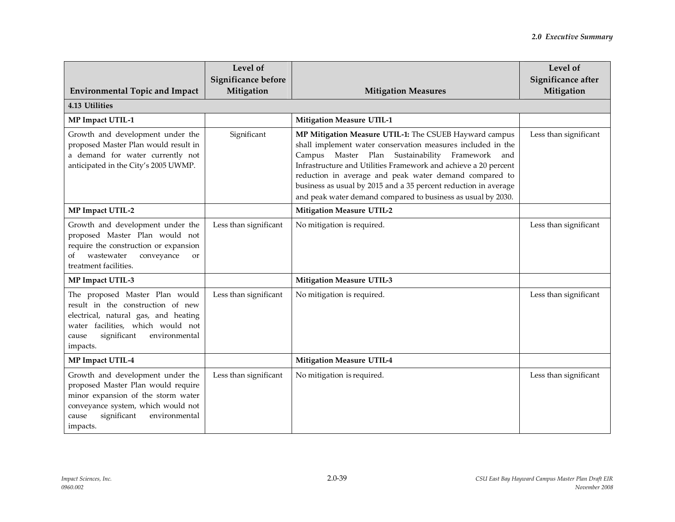| <b>Environmental Topic and Impact</b>                                                                                                                                                                   | Level of<br>Significance before<br>Mitigation | <b>Mitigation Measures</b>                                                                                                                                                                                                                                                                                                                                                                                                               | Level of<br>Significance after<br>Mitigation |  |
|---------------------------------------------------------------------------------------------------------------------------------------------------------------------------------------------------------|-----------------------------------------------|------------------------------------------------------------------------------------------------------------------------------------------------------------------------------------------------------------------------------------------------------------------------------------------------------------------------------------------------------------------------------------------------------------------------------------------|----------------------------------------------|--|
| 4.13 Utilities                                                                                                                                                                                          |                                               |                                                                                                                                                                                                                                                                                                                                                                                                                                          |                                              |  |
| <b>MP Impact UTIL-1</b>                                                                                                                                                                                 |                                               | <b>Mitigation Measure UTIL-1</b>                                                                                                                                                                                                                                                                                                                                                                                                         |                                              |  |
| Growth and development under the<br>proposed Master Plan would result in<br>a demand for water currently not<br>anticipated in the City's 2005 UWMP.                                                    | Significant                                   | MP Mitigation Measure UTIL-1: The CSUEB Hayward campus<br>shall implement water conservation measures included in the<br>Campus Master Plan Sustainability Framework and<br>Infrastructure and Utilities Framework and achieve a 20 percent<br>reduction in average and peak water demand compared to<br>business as usual by 2015 and a 35 percent reduction in average<br>and peak water demand compared to business as usual by 2030. | Less than significant                        |  |
| MP Impact UTIL-2                                                                                                                                                                                        |                                               | <b>Mitigation Measure UTIL-2</b>                                                                                                                                                                                                                                                                                                                                                                                                         |                                              |  |
| Growth and development under the<br>proposed Master Plan would not<br>require the construction or expansion<br>wastewater<br>conveyance<br>of<br><b>or</b><br>treatment facilities.                     | Less than significant                         | No mitigation is required.                                                                                                                                                                                                                                                                                                                                                                                                               | Less than significant                        |  |
| MP Impact UTIL-3                                                                                                                                                                                        |                                               | <b>Mitigation Measure UTIL-3</b>                                                                                                                                                                                                                                                                                                                                                                                                         |                                              |  |
| The proposed Master Plan would<br>result in the construction of new<br>electrical, natural gas, and heating<br>water facilities, which would not<br>significant<br>environmental<br>cause<br>impacts.   | Less than significant                         | No mitigation is required.                                                                                                                                                                                                                                                                                                                                                                                                               | Less than significant                        |  |
| MP Impact UTIL-4                                                                                                                                                                                        |                                               | <b>Mitigation Measure UTIL-4</b>                                                                                                                                                                                                                                                                                                                                                                                                         |                                              |  |
| Growth and development under the<br>proposed Master Plan would require<br>minor expansion of the storm water<br>conveyance system, which would not<br>significant<br>environmental<br>cause<br>impacts. | Less than significant                         | No mitigation is required.                                                                                                                                                                                                                                                                                                                                                                                                               | Less than significant                        |  |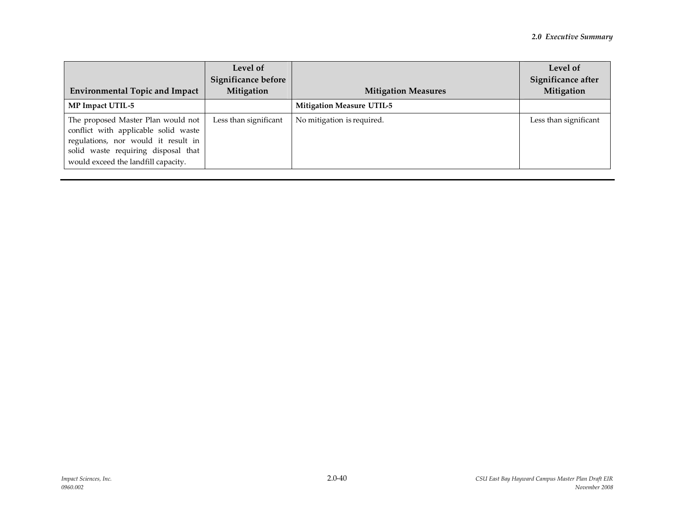| <b>Environmental Topic and Impact</b>                                                                                                                                                           | Level of<br><b>Significance before</b><br>Mitigation | <b>Mitigation Measures</b>       | Level of<br>Significance after<br>Mitigation |
|-------------------------------------------------------------------------------------------------------------------------------------------------------------------------------------------------|------------------------------------------------------|----------------------------------|----------------------------------------------|
| MP Impact UTIL-5                                                                                                                                                                                |                                                      | <b>Mitigation Measure UTIL-5</b> |                                              |
| The proposed Master Plan would not<br>conflict with applicable solid waste<br>regulations, nor would it result in<br>solid waste requiring disposal that<br>would exceed the landfill capacity. | Less than significant                                | No mitigation is required.       | Less than significant                        |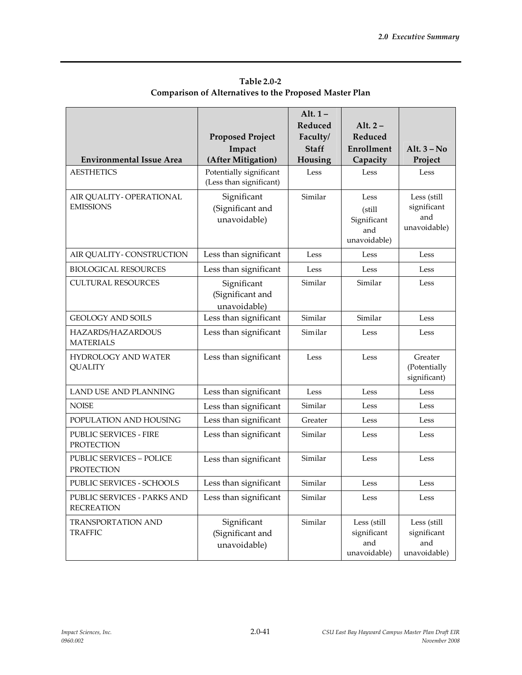|                                                      | <b>Proposed Project</b><br>Impact                  | Alt. $1-$<br>Reduced<br>Faculty/<br><b>Staff</b> | Alt. $2-$<br>Reduced<br>Enrollment                   | Alt. $3 - No$                                     |
|------------------------------------------------------|----------------------------------------------------|--------------------------------------------------|------------------------------------------------------|---------------------------------------------------|
| <b>Environmental Issue Area</b>                      | (After Mitigation)                                 | Housing                                          | Capacity                                             | Project                                           |
| <b>AESTHETICS</b>                                    | Potentially significant<br>(Less than significant) | Less                                             | Less                                                 | Less                                              |
| AIR QUALITY - OPERATIONAL<br><b>EMISSIONS</b>        | Significant<br>(Significant and<br>unavoidable)    | Similar                                          | Less<br>(still<br>Significant<br>and<br>unavoidable) | Less (still<br>significant<br>and<br>unavoidable) |
| AIR QUALITY - CONSTRUCTION                           | Less than significant                              | Less                                             | Less                                                 | Less                                              |
| <b>BIOLOGICAL RESOURCES</b>                          | Less than significant                              | Less                                             | Less                                                 | Less                                              |
| <b>CULTURAL RESOURCES</b>                            | Significant<br>(Significant and<br>unavoidable)    | Similar                                          | Similar                                              | Less                                              |
| <b>GEOLOGY AND SOILS</b>                             | Less than significant                              | Similar                                          | Similar                                              | $\operatorname{Less}$                             |
| HAZARDS/HAZARDOUS<br><b>MATERIALS</b>                | Less than significant                              | Similar                                          | Less                                                 | Less                                              |
| <b>HYDROLOGY AND WATER</b><br><b>QUALITY</b>         | Less than significant                              | Less                                             | Less                                                 | Greater<br>(Potentially<br>significant)           |
| <b>LAND USE AND PLANNING</b>                         | Less than significant                              | Less                                             | Less                                                 | Less                                              |
| <b>NOISE</b>                                         | Less than significant                              | Similar                                          | Less                                                 | Less                                              |
| POPULATION AND HOUSING                               | Less than significant                              | Greater                                          | Less                                                 | Less                                              |
| PUBLIC SERVICES - FIRE<br><b>PROTECTION</b>          | Less than significant                              | Similar                                          | Less                                                 | Less                                              |
| <b>PUBLIC SERVICES - POLICE</b><br><b>PROTECTION</b> | Less than significant                              | Similar                                          | Less                                                 | Less                                              |
| PUBLIC SERVICES - SCHOOLS                            | Less than significant                              | Similar                                          | Less                                                 | Less                                              |
| PUBLIC SERVICES - PARKS AND<br><b>RECREATION</b>     | Less than significant                              | Similar                                          | Less                                                 | Less                                              |
| <b>TRANSPORTATION AND</b><br><b>TRAFFIC</b>          | Significant<br>(Significant and<br>unavoidable)    | Similar                                          | Less (still<br>significant<br>and<br>unavoidable)    | Less (still<br>significant<br>and<br>unavoidable) |

**Table 2.0-2 Comparison of Alternatives to the Proposed Master Plan**